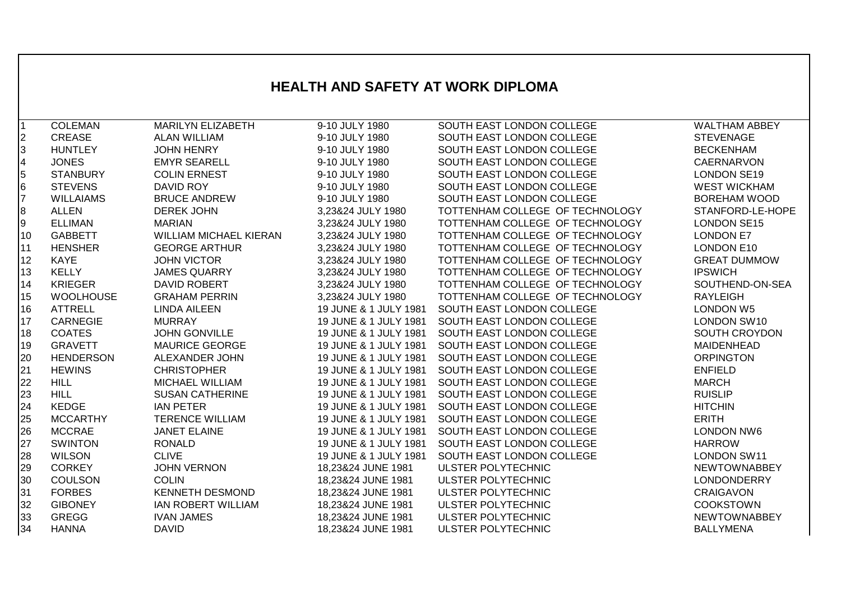## **HEALTH AND SAFETY AT WORK DIPLOMA**

| $\overline{1}$          | <b>COLEMAN</b>   | <b>MARILYN ELIZABETH</b>      | 9-10 JULY 1980        | SOUTH EAST LONDON COLLEGE       | <b>WALTHAM ABBEY</b> |
|-------------------------|------------------|-------------------------------|-----------------------|---------------------------------|----------------------|
| $\overline{2}$          | <b>CREASE</b>    | <b>ALAN WILLIAM</b>           | 9-10 JULY 1980        | SOUTH EAST LONDON COLLEGE       | <b>STEVENAGE</b>     |
| 3                       | <b>HUNTLEY</b>   | <b>JOHN HENRY</b>             | 9-10 JULY 1980        | SOUTH EAST LONDON COLLEGE       | <b>BECKENHAM</b>     |
| $\overline{\mathbf{4}}$ | <b>JONES</b>     | <b>EMYR SEARELL</b>           | 9-10 JULY 1980        | SOUTH EAST LONDON COLLEGE       | <b>CAERNARVON</b>    |
| 5                       | <b>STANBURY</b>  | <b>COLIN ERNEST</b>           | 9-10 JULY 1980        | SOUTH EAST LONDON COLLEGE       | <b>LONDON SE19</b>   |
| 6                       | <b>STEVENS</b>   | <b>DAVID ROY</b>              | 9-10 JULY 1980        | SOUTH EAST LONDON COLLEGE       | <b>WEST WICKHAM</b>  |
| $\overline{7}$          | <b>WILLAIAMS</b> | <b>BRUCE ANDREW</b>           | 9-10 JULY 1980        | SOUTH EAST LONDON COLLEGE       | <b>BOREHAM WOOD</b>  |
| $\bf{8}$                | <b>ALLEN</b>     | <b>DEREK JOHN</b>             | 3,23&24 JULY 1980     | TOTTENHAM COLLEGE OF TECHNOLOGY | STANFORD-LE-HOPE     |
| 9                       | <b>ELLIMAN</b>   | <b>MARIAN</b>                 | 3,23&24 JULY 1980     | TOTTENHAM COLLEGE OF TECHNOLOGY | <b>LONDON SE15</b>   |
| 10                      | <b>GABBETT</b>   | <b>WILLIAM MICHAEL KIERAN</b> | 3,23&24 JULY 1980     | TOTTENHAM COLLEGE OF TECHNOLOGY | <b>LONDON E7</b>     |
| 11                      | <b>HENSHER</b>   | <b>GEORGE ARTHUR</b>          | 3,23&24 JULY 1980     | TOTTENHAM COLLEGE OF TECHNOLOGY | LONDON E10           |
| 12                      | KAYE             | <b>JOHN VICTOR</b>            | 3,23&24 JULY 1980     | TOTTENHAM COLLEGE OF TECHNOLOGY | <b>GREAT DUMMOW</b>  |
| 13                      | <b>KELLY</b>     | <b>JAMES QUARRY</b>           | 3,23&24 JULY 1980     | TOTTENHAM COLLEGE OF TECHNOLOGY | <b>IPSWICH</b>       |
| 14                      | <b>KRIEGER</b>   | DAVID ROBERT                  | 3,23&24 JULY 1980     | TOTTENHAM COLLEGE OF TECHNOLOGY | SOUTHEND-ON-SEA      |
| 15                      | <b>WOOLHOUSE</b> | <b>GRAHAM PERRIN</b>          | 3,23&24 JULY 1980     | TOTTENHAM COLLEGE OF TECHNOLOGY | <b>RAYLEIGH</b>      |
| 16                      | <b>ATTRELL</b>   | <b>LINDA AILEEN</b>           | 19 JUNE & 1 JULY 1981 | SOUTH EAST LONDON COLLEGE       | <b>LONDON W5</b>     |
| 17                      | CARNEGIE         | <b>MURRAY</b>                 | 19 JUNE & 1 JULY 1981 | SOUTH EAST LONDON COLLEGE       | LONDON SW10          |
| 18                      | <b>COATES</b>    | <b>JOHN GONVILLE</b>          | 19 JUNE & 1 JULY 1981 | SOUTH EAST LONDON COLLEGE       | <b>SOUTH CROYDON</b> |
| 19                      | <b>GRAVETT</b>   | <b>MAURICE GEORGE</b>         | 19 JUNE & 1 JULY 1981 | SOUTH EAST LONDON COLLEGE       | <b>MAIDENHEAD</b>    |
| 20                      | <b>HENDERSON</b> | ALEXANDER JOHN                | 19 JUNE & 1 JULY 1981 | SOUTH EAST LONDON COLLEGE       | <b>ORPINGTON</b>     |
| 21                      | <b>HEWINS</b>    | <b>CHRISTOPHER</b>            | 19 JUNE & 1 JULY 1981 | SOUTH EAST LONDON COLLEGE       | <b>ENFIELD</b>       |
| 22                      | <b>HILL</b>      | MICHAEL WILLIAM               | 19 JUNE & 1 JULY 1981 | SOUTH EAST LONDON COLLEGE       | <b>MARCH</b>         |
| 23                      | <b>HILL</b>      | <b>SUSAN CATHERINE</b>        | 19 JUNE & 1 JULY 1981 | SOUTH EAST LONDON COLLEGE       | <b>RUISLIP</b>       |
| 24                      | <b>KEDGE</b>     | <b>IAN PETER</b>              | 19 JUNE & 1 JULY 1981 | SOUTH EAST LONDON COLLEGE       | <b>HITCHIN</b>       |
| 25                      | <b>MCCARTHY</b>  | <b>TERENCE WILLIAM</b>        | 19 JUNE & 1 JULY 1981 | SOUTH EAST LONDON COLLEGE       | <b>ERITH</b>         |
| 26                      | <b>MCCRAE</b>    | <b>JANET ELAINE</b>           | 19 JUNE & 1 JULY 1981 | SOUTH EAST LONDON COLLEGE       | <b>LONDON NW6</b>    |
| 27                      | <b>SWINTON</b>   | <b>RONALD</b>                 | 19 JUNE & 1 JULY 1981 | SOUTH EAST LONDON COLLEGE       | <b>HARROW</b>        |
| 28                      | <b>WILSON</b>    | <b>CLIVE</b>                  | 19 JUNE & 1 JULY 1981 | SOUTH EAST LONDON COLLEGE       | <b>LONDON SW11</b>   |
| 29                      | <b>CORKEY</b>    | <b>JOHN VERNON</b>            | 18,23&24 JUNE 1981    | <b>ULSTER POLYTECHNIC</b>       | <b>NEWTOWNABBEY</b>  |
| 30                      | <b>COULSON</b>   | <b>COLIN</b>                  | 18,23&24 JUNE 1981    | <b>ULSTER POLYTECHNIC</b>       | <b>LONDONDERRY</b>   |
| 31                      | <b>FORBES</b>    | <b>KENNETH DESMOND</b>        | 18,23&24 JUNE 1981    | ULSTER POLYTECHNIC              | <b>CRAIGAVON</b>     |
| 32                      | <b>GIBONEY</b>   | <b>IAN ROBERT WILLIAM</b>     | 18,23&24 JUNE 1981    | ULSTER POLYTECHNIC              | <b>COOKSTOWN</b>     |
| 33                      | <b>GREGG</b>     | <b>IVAN JAMES</b>             | 18,23&24 JUNE 1981    | ULSTER POLYTECHNIC              | <b>NEWTOWNABBEY</b>  |
| 34                      | <b>HANNA</b>     | <b>DAVID</b>                  | 18,23&24 JUNE 1981    | <b>ULSTER POLYTECHNIC</b>       | <b>BALLYMENA</b>     |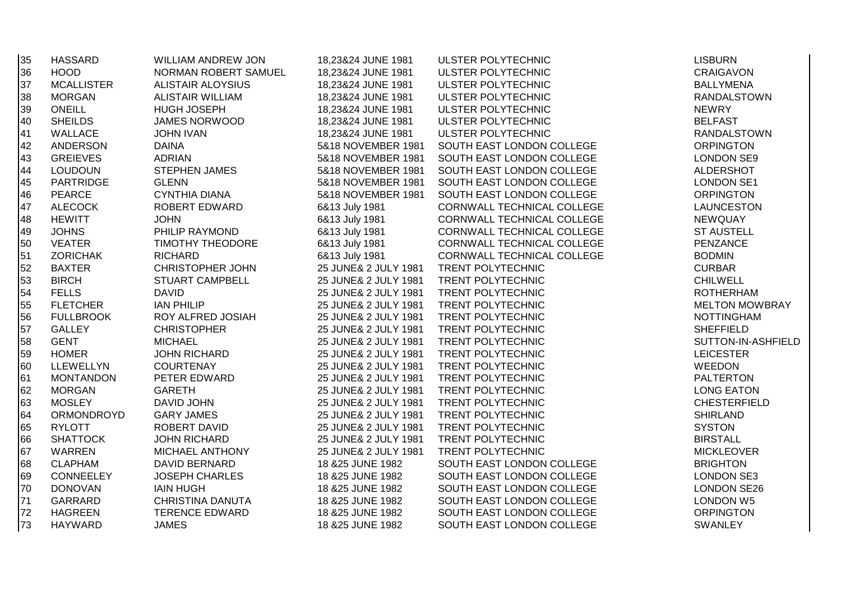| 35 | <b>HASSARD</b>    | <b>WILLIAM ANDREW JON</b> | 18,23&24 JUNE 1981   | ULSTER POLYTECHNIC         | <b>LISBURN</b>        |
|----|-------------------|---------------------------|----------------------|----------------------------|-----------------------|
| 36 | <b>HOOD</b>       | NORMAN ROBERT SAMUEL      | 18,23&24 JUNE 1981   | ULSTER POLYTECHNIC         | <b>CRAIGAVON</b>      |
| 37 | <b>MCALLISTER</b> | <b>ALISTAIR ALOYSIUS</b>  | 18,23&24 JUNE 1981   | ULSTER POLYTECHNIC         | <b>BALLYMENA</b>      |
| 38 | <b>MORGAN</b>     | <b>ALISTAIR WILLIAM</b>   | 18,23&24 JUNE 1981   | ULSTER POLYTECHNIC         | <b>RANDALSTOWN</b>    |
| 39 | ONEILL            | <b>HUGH JOSEPH</b>        | 18,23&24 JUNE 1981   | ULSTER POLYTECHNIC         | <b>NEWRY</b>          |
| 40 | <b>SHEILDS</b>    | <b>JAMES NORWOOD</b>      | 18,23&24 JUNE 1981   | ULSTER POLYTECHNIC         | <b>BELFAST</b>        |
| 41 | WALLACE           | <b>JOHN IVAN</b>          | 18,23&24 JUNE 1981   | ULSTER POLYTECHNIC         | <b>RANDALSTOWN</b>    |
| 42 | <b>ANDERSON</b>   | <b>DAINA</b>              | 5&18 NOVEMBER 1981   | SOUTH EAST LONDON COLLEGE  | <b>ORPINGTON</b>      |
| 43 | <b>GREIEVES</b>   | <b>ADRIAN</b>             | 5&18 NOVEMBER 1981   | SOUTH EAST LONDON COLLEGE  | <b>LONDON SE9</b>     |
| 44 | <b>LOUDOUN</b>    | <b>STEPHEN JAMES</b>      | 5&18 NOVEMBER 1981   | SOUTH EAST LONDON COLLEGE  | ALDERSHOT             |
| 45 | PARTRIDGE         | <b>GLENN</b>              | 5&18 NOVEMBER 1981   | SOUTH EAST LONDON COLLEGE  | <b>LONDON SE1</b>     |
| 46 | <b>PEARCE</b>     | <b>CYNTHIA DIANA</b>      | 5&18 NOVEMBER 1981   | SOUTH EAST LONDON COLLEGE  | <b>ORPINGTON</b>      |
| 47 | <b>ALECOCK</b>    | ROBERT EDWARD             | 6&13 July 1981       | CORNWALL TECHNICAL COLLEGE | <b>LAUNCESTON</b>     |
| 48 | <b>HEWITT</b>     | <b>JOHN</b>               | 6&13 July 1981       | CORNWALL TECHNICAL COLLEGE | NEWQUAY               |
| 49 | <b>JOHNS</b>      | PHILIP RAYMOND            | 6&13 July 1981       | CORNWALL TECHNICAL COLLEGE | <b>ST AUSTELL</b>     |
| 50 | <b>VEATER</b>     | <b>TIMOTHY THEODORE</b>   | 6&13 July 1981       | CORNWALL TECHNICAL COLLEGE | PENZANCE              |
| 51 | <b>ZORICHAK</b>   | <b>RICHARD</b>            | 6&13 July 1981       | CORNWALL TECHNICAL COLLEGE | <b>BODMIN</b>         |
| 52 | <b>BAXTER</b>     | <b>CHRISTOPHER JOHN</b>   | 25 JUNE& 2 JULY 1981 | TRENT POLYTECHNIC          | <b>CURBAR</b>         |
| 53 | <b>BIRCH</b>      | STUART CAMPBELL           | 25 JUNE& 2 JULY 1981 | TRENT POLYTECHNIC          | <b>CHILWELL</b>       |
| 54 | <b>FELLS</b>      | <b>DAVID</b>              | 25 JUNE& 2 JULY 1981 | TRENT POLYTECHNIC          | <b>ROTHERHAM</b>      |
| 55 | <b>FLETCHER</b>   | <b>IAN PHILIP</b>         | 25 JUNE& 2 JULY 1981 | TRENT POLYTECHNIC          | <b>MELTON MOWBRAY</b> |
| 56 | <b>FULLBROOK</b>  | ROY ALFRED JOSIAH         | 25 JUNE& 2 JULY 1981 | TRENT POLYTECHNIC          | <b>NOTTINGHAM</b>     |
| 57 | <b>GALLEY</b>     | <b>CHRISTOPHER</b>        | 25 JUNE& 2 JULY 1981 | TRENT POLYTECHNIC          | <b>SHEFFIELD</b>      |
| 58 | <b>GENT</b>       | <b>MICHAEL</b>            | 25 JUNE& 2 JULY 1981 | TRENT POLYTECHNIC          | SUTTON-IN-ASHFIELD    |
| 59 | <b>HOMER</b>      | <b>JOHN RICHARD</b>       | 25 JUNE& 2 JULY 1981 | TRENT POLYTECHNIC          | <b>LEICESTER</b>      |
| 60 | LLEWELLYN         | <b>COURTENAY</b>          | 25 JUNE& 2 JULY 1981 | TRENT POLYTECHNIC          | <b>WEEDON</b>         |
| 61 | <b>MONTANDON</b>  | PETER EDWARD              | 25 JUNE& 2 JULY 1981 | TRENT POLYTECHNIC          | <b>PALTERTON</b>      |
| 62 | <b>MORGAN</b>     | <b>GARETH</b>             | 25 JUNE& 2 JULY 1981 | TRENT POLYTECHNIC          | <b>LONG EATON</b>     |
| 63 | <b>MOSLEY</b>     | <b>DAVID JOHN</b>         | 25 JUNE& 2 JULY 1981 | TRENT POLYTECHNIC          | <b>CHESTERFIELD</b>   |
| 64 | <b>ORMONDROYD</b> | <b>GARY JAMES</b>         | 25 JUNE& 2 JULY 1981 | TRENT POLYTECHNIC          | <b>SHIRLAND</b>       |
| 65 | <b>RYLOTT</b>     | ROBERT DAVID              | 25 JUNE& 2 JULY 1981 | TRENT POLYTECHNIC          | <b>SYSTON</b>         |
| 66 | <b>SHATTOCK</b>   | <b>JOHN RICHARD</b>       | 25 JUNE& 2 JULY 1981 | TRENT POLYTECHNIC          | <b>BIRSTALL</b>       |
| 67 | WARREN            | MICHAEL ANTHONY           | 25 JUNE& 2 JULY 1981 | TRENT POLYTECHNIC          | <b>MICKLEOVER</b>     |
| 68 | <b>CLAPHAM</b>    | DAVID BERNARD             | 18 & 25 JUNE 1982    | SOUTH EAST LONDON COLLEGE  | <b>BRIGHTON</b>       |
| 69 | <b>CONNEELEY</b>  | <b>JOSEPH CHARLES</b>     | 18 & 25 JUNE 1982    | SOUTH EAST LONDON COLLEGE  | <b>LONDON SE3</b>     |
| 70 | <b>DONOVAN</b>    | <b>IAIN HUGH</b>          | 18 & 25 JUNE 1982    | SOUTH EAST LONDON COLLEGE  | <b>LONDON SE26</b>    |
| 71 | GARRARD           | CHRISTINA DANUTA          | 18 & 25 JUNE 1982    | SOUTH EAST LONDON COLLEGE  | <b>LONDON W5</b>      |
| 72 | <b>HAGREEN</b>    | <b>TERENCE EDWARD</b>     | 18 & 25 JUNE 1982    | SOUTH EAST LONDON COLLEGE  | <b>ORPINGTON</b>      |
| 73 | <b>HAYWARD</b>    | <b>JAMES</b>              | 18 & 25 JUNE 1982    | SOUTH EAST LONDON COLLEGE  | <b>SWANLEY</b>        |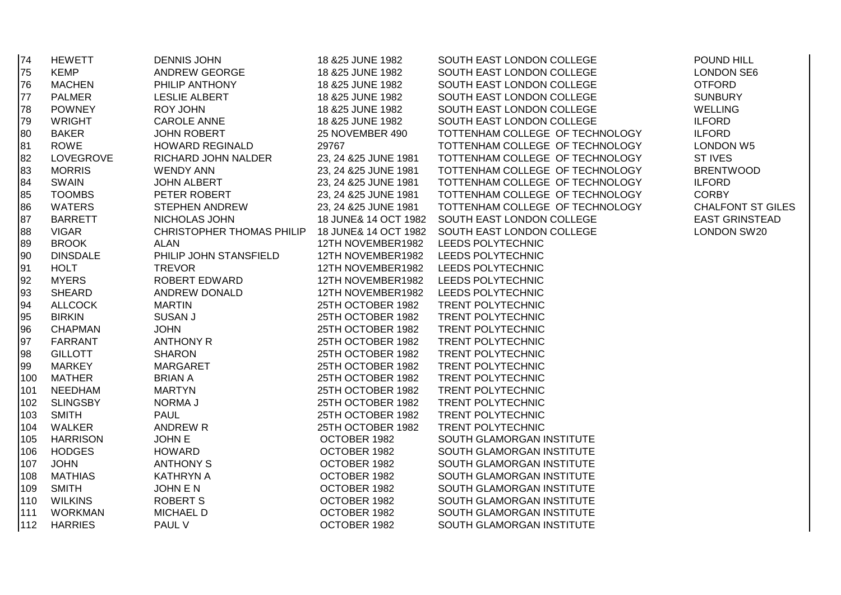| 74  | <b>HEWETT</b>   | <b>DENNIS JOHN</b>     | 18 & 25 JUNE 1982     | SOUTH EAST LONDON COLLEGE                                                | POUND HILL               |
|-----|-----------------|------------------------|-----------------------|--------------------------------------------------------------------------|--------------------------|
| 75  | <b>KEMP</b>     | <b>ANDREW GEORGE</b>   | 18 & 25 JUNE 1982     | SOUTH EAST LONDON COLLEGE                                                | <b>LONDON SE6</b>        |
| 76  | <b>MACHEN</b>   | PHILIP ANTHONY         | 18 & 25 JUNE 1982     | SOUTH EAST LONDON COLLEGE                                                | <b>OTFORD</b>            |
| 77  | <b>PALMER</b>   | <b>LESLIE ALBERT</b>   | 18 & 25 JUNE 1982     | SOUTH EAST LONDON COLLEGE                                                | <b>SUNBURY</b>           |
| 78  | <b>POWNEY</b>   | <b>ROY JOHN</b>        | 18 & 25 JUNE 1982     | SOUTH EAST LONDON COLLEGE                                                | <b>WELLING</b>           |
| 79  | <b>WRIGHT</b>   | <b>CAROLE ANNE</b>     | 18 & 25 JUNE 1982     | SOUTH EAST LONDON COLLEGE                                                | <b>ILFORD</b>            |
| 80  | <b>BAKER</b>    | <b>JOHN ROBERT</b>     | 25 NOVEMBER 490       | TOTTENHAM COLLEGE OF TECHNOLOGY                                          | <b>ILFORD</b>            |
| 81  | ROWE            | <b>HOWARD REGINALD</b> | 29767                 | TOTTENHAM COLLEGE OF TECHNOLOGY                                          | <b>LONDON W5</b>         |
| 82  | LOVEGROVE       | RICHARD JOHN NALDER    | 23, 24 & 25 JUNE 1981 | TOTTENHAM COLLEGE OF TECHNOLOGY                                          | <b>ST IVES</b>           |
| 83  | <b>MORRIS</b>   | <b>WENDY ANN</b>       | 23, 24 & 25 JUNE 1981 | TOTTENHAM COLLEGE OF TECHNOLOGY                                          | <b>BRENTWOOD</b>         |
| 84  | <b>SWAIN</b>    | <b>JOHN ALBERT</b>     | 23, 24 & 25 JUNE 1981 | TOTTENHAM COLLEGE OF TECHNOLOGY                                          | <b>ILFORD</b>            |
| 85  | <b>TOOMBS</b>   | PETER ROBERT           | 23, 24 & 25 JUNE 1981 | TOTTENHAM COLLEGE OF TECHNOLOGY                                          | <b>CORBY</b>             |
| 86  | <b>WATERS</b>   | <b>STEPHEN ANDREW</b>  | 23, 24 & 25 JUNE 1981 | TOTTENHAM COLLEGE OF TECHNOLOGY                                          | <b>CHALFONT ST GILES</b> |
| 87  | <b>BARRETT</b>  | NICHOLAS JOHN          |                       | 18 JUNE& 14 OCT 1982 SOUTH EAST LONDON COLLEGE                           | <b>EAST GRINSTEAD</b>    |
| 88  | <b>VIGAR</b>    |                        |                       | CHRISTOPHER THOMAS PHILIP 18 JUNE& 14 OCT 1982 SOUTH EAST LONDON COLLEGE | <b>LONDON SW20</b>       |
| 89  | <b>BROOK</b>    | <b>ALAN</b>            | 12TH NOVEMBER1982     | LEEDS POLYTECHNIC                                                        |                          |
| 90  | <b>DINSDALE</b> | PHILIP JOHN STANSFIELD | 12TH NOVEMBER1982     | LEEDS POLYTECHNIC                                                        |                          |
| 91  | <b>HOLT</b>     | <b>TREVOR</b>          | 12TH NOVEMBER1982     | LEEDS POLYTECHNIC                                                        |                          |
| 92  | <b>MYERS</b>    | <b>ROBERT EDWARD</b>   | 12TH NOVEMBER1982     | LEEDS POLYTECHNIC                                                        |                          |
| 93  | <b>SHEARD</b>   | ANDREW DONALD          | 12TH NOVEMBER1982     | LEEDS POLYTECHNIC                                                        |                          |
| 94  | <b>ALLCOCK</b>  | <b>MARTIN</b>          | 25TH OCTOBER 1982     | TRENT POLYTECHNIC                                                        |                          |
| 95  | <b>BIRKIN</b>   | <b>SUSAN J</b>         | 25TH OCTOBER 1982     | TRENT POLYTECHNIC                                                        |                          |
| 96  | <b>CHAPMAN</b>  | <b>JOHN</b>            | 25TH OCTOBER 1982     | TRENT POLYTECHNIC                                                        |                          |
| 97  | FARRANT         | <b>ANTHONY R</b>       | 25TH OCTOBER 1982     | <b>TRENT POLYTECHNIC</b>                                                 |                          |
| 98  | <b>GILLOTT</b>  | <b>SHARON</b>          | 25TH OCTOBER 1982     | TRENT POLYTECHNIC                                                        |                          |
| 99  | <b>MARKEY</b>   | MARGARET               | 25TH OCTOBER 1982     | TRENT POLYTECHNIC                                                        |                          |
| 100 | MATHER          | <b>BRIAN A</b>         | 25TH OCTOBER 1982     | TRENT POLYTECHNIC                                                        |                          |
| 101 | NEEDHAM         | <b>MARTYN</b>          | 25TH OCTOBER 1982     | TRENT POLYTECHNIC                                                        |                          |
| 102 | <b>SLINGSBY</b> | <b>NORMAJ</b>          | 25TH OCTOBER 1982     | TRENT POLYTECHNIC                                                        |                          |
| 103 | <b>SMITH</b>    | <b>PAUL</b>            | 25TH OCTOBER 1982     | TRENT POLYTECHNIC                                                        |                          |
| 104 | WALKER          | ANDREW R               | 25TH OCTOBER 1982     | TRENT POLYTECHNIC                                                        |                          |
| 105 | <b>HARRISON</b> | <b>JOHN E</b>          | OCTOBER 1982          | SOUTH GLAMORGAN INSTITUTE                                                |                          |
| 106 | <b>HODGES</b>   | <b>HOWARD</b>          | OCTOBER 1982          | SOUTH GLAMORGAN INSTITUTE                                                |                          |
| 107 | <b>JOHN</b>     | <b>ANTHONY S</b>       | OCTOBER 1982          | SOUTH GLAMORGAN INSTITUTE                                                |                          |
| 108 | <b>MATHIAS</b>  | <b>KATHRYN A</b>       | OCTOBER 1982          | SOUTH GLAMORGAN INSTITUTE                                                |                          |
| 109 | <b>SMITH</b>    | JOHN E N               | OCTOBER 1982          | SOUTH GLAMORGAN INSTITUTE                                                |                          |
| 110 | <b>WILKINS</b>  | <b>ROBERT S</b>        | OCTOBER 1982          | SOUTH GLAMORGAN INSTITUTE                                                |                          |
| 111 | <b>WORKMAN</b>  | <b>MICHAEL D</b>       | OCTOBER 1982          | SOUTH GLAMORGAN INSTITUTE                                                |                          |
| 112 | <b>HARRIES</b>  | PAUL V                 | OCTOBER 1982          | SOUTH GLAMORGAN INSTITUTE                                                |                          |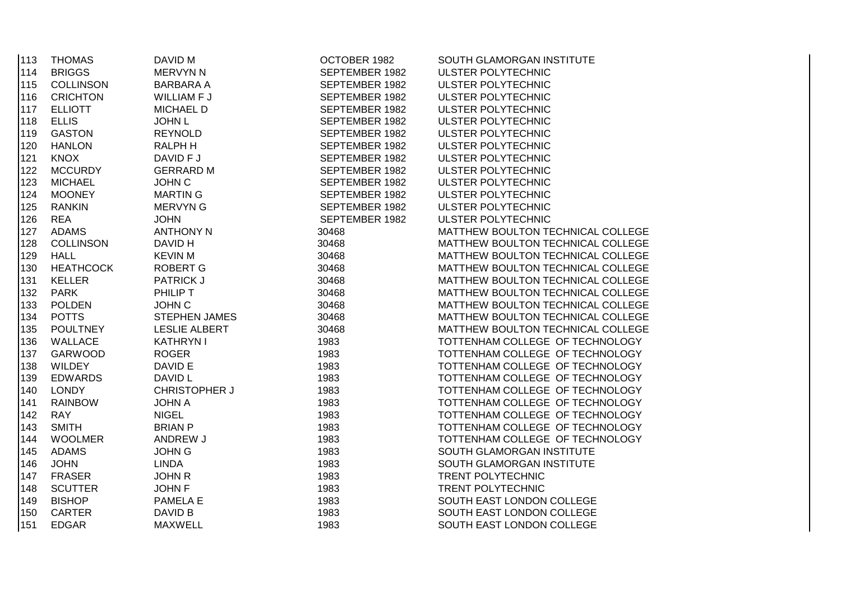| 113 | <b>THOMAS</b>    | DAVID M              | OCTOBER 1982   | SOUTH GLAMORGAN INSTITUTE         |
|-----|------------------|----------------------|----------------|-----------------------------------|
| 114 | <b>BRIGGS</b>    | <b>MERVYN N</b>      | SEPTEMBER 1982 | ULSTER POLYTECHNIC                |
| 115 | <b>COLLINSON</b> | <b>BARBARA A</b>     | SEPTEMBER 1982 | ULSTER POLYTECHNIC                |
| 116 | <b>CRICHTON</b>  | WILLIAM F J          | SEPTEMBER 1982 | ULSTER POLYTECHNIC                |
| 117 | <b>ELLIOTT</b>   | <b>MICHAEL D</b>     | SEPTEMBER 1982 | ULSTER POLYTECHNIC                |
| 118 | <b>ELLIS</b>     | <b>JOHN L</b>        | SEPTEMBER 1982 | <b>ULSTER POLYTECHNIC</b>         |
| 119 | <b>GASTON</b>    | <b>REYNOLD</b>       | SEPTEMBER 1982 | ULSTER POLYTECHNIC                |
| 120 | <b>HANLON</b>    | <b>RALPH H</b>       | SEPTEMBER 1982 | ULSTER POLYTECHNIC                |
| 121 | <b>KNOX</b>      | DAVID F J            | SEPTEMBER 1982 | ULSTER POLYTECHNIC                |
| 122 | <b>MCCURDY</b>   | <b>GERRARD M</b>     | SEPTEMBER 1982 | ULSTER POLYTECHNIC                |
| 123 | <b>MICHAEL</b>   | <b>JOHN C</b>        | SEPTEMBER 1982 | ULSTER POLYTECHNIC                |
| 124 | <b>MOONEY</b>    | <b>MARTIN G</b>      | SEPTEMBER 1982 | ULSTER POLYTECHNIC                |
| 125 | <b>RANKIN</b>    | <b>MERVYN G</b>      | SEPTEMBER 1982 | ULSTER POLYTECHNIC                |
| 126 | <b>REA</b>       | <b>JOHN</b>          | SEPTEMBER 1982 | ULSTER POLYTECHNIC                |
| 127 | <b>ADAMS</b>     | <b>ANTHONY N</b>     | 30468          | MATTHEW BOULTON TECHNICAL COLLEGE |
| 128 | <b>COLLINSON</b> | DAVID H              | 30468          | MATTHEW BOULTON TECHNICAL COLLEGE |
| 129 | <b>HALL</b>      | <b>KEVIN M</b>       | 30468          | MATTHEW BOULTON TECHNICAL COLLEGE |
| 130 | <b>HEATHCOCK</b> | ROBERT G             | 30468          | MATTHEW BOULTON TECHNICAL COLLEGE |
| 131 | <b>KELLER</b>    | <b>PATRICK J</b>     | 30468          | MATTHEW BOULTON TECHNICAL COLLEGE |
| 132 | <b>PARK</b>      | PHILIP T             | 30468          | MATTHEW BOULTON TECHNICAL COLLEGE |
| 133 | <b>POLDEN</b>    | <b>JOHN C</b>        | 30468          | MATTHEW BOULTON TECHNICAL COLLEGE |
| 134 | <b>POTTS</b>     | <b>STEPHEN JAMES</b> | 30468          | MATTHEW BOULTON TECHNICAL COLLEGE |
| 135 | <b>POULTNEY</b>  | <b>LESLIE ALBERT</b> | 30468          | MATTHEW BOULTON TECHNICAL COLLEGE |
| 136 | WALLACE          | <b>KATHRYN I</b>     | 1983           | TOTTENHAM COLLEGE OF TECHNOLOGY   |
| 137 | GARWOOD          | <b>ROGER</b>         | 1983           | TOTTENHAM COLLEGE OF TECHNOLOGY   |
| 138 | <b>WILDEY</b>    | DAVID E              | 1983           | TOTTENHAM COLLEGE OF TECHNOLOGY   |
| 139 | <b>EDWARDS</b>   | DAVID L              | 1983           | TOTTENHAM COLLEGE OF TECHNOLOGY   |
| 140 | <b>LONDY</b>     | <b>CHRISTOPHER J</b> | 1983           | TOTTENHAM COLLEGE OF TECHNOLOGY   |
| 141 | <b>RAINBOW</b>   | <b>JOHN A</b>        | 1983           | TOTTENHAM COLLEGE OF TECHNOLOGY   |
| 142 | <b>RAY</b>       | <b>NIGEL</b>         | 1983           | TOTTENHAM COLLEGE OF TECHNOLOGY   |
| 143 | <b>SMITH</b>     | <b>BRIAN P</b>       | 1983           | TOTTENHAM COLLEGE OF TECHNOLOGY   |
| 144 | <b>WOOLMER</b>   | ANDREW J             | 1983           | TOTTENHAM COLLEGE OF TECHNOLOGY   |
| 145 | <b>ADAMS</b>     | <b>JOHN G</b>        | 1983           | SOUTH GLAMORGAN INSTITUTE         |
| 146 | <b>JOHN</b>      | <b>LINDA</b>         | 1983           | SOUTH GLAMORGAN INSTITUTE         |
| 147 | <b>FRASER</b>    | <b>JOHN R</b>        | 1983           | TRENT POLYTECHNIC                 |
| 148 | <b>SCUTTER</b>   | <b>JOHN F</b>        | 1983           | TRENT POLYTECHNIC                 |
| 149 | <b>BISHOP</b>    | PAMELA E             | 1983           | SOUTH EAST LONDON COLLEGE         |
| 150 | CARTER           | DAVID B              | 1983           | SOUTH EAST LONDON COLLEGE         |
| 151 | <b>EDGAR</b>     | <b>MAXWELL</b>       | 1983           | SOUTH EAST LONDON COLLEGE         |
|     |                  |                      |                |                                   |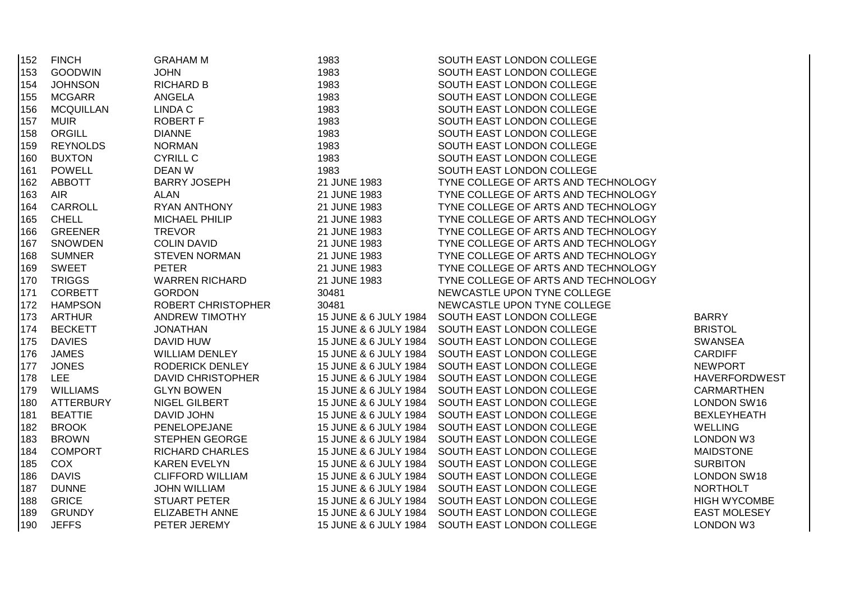| 152 | <b>FINCH</b>     | <b>GRAHAM M</b>           | 1983                  | SOUTH EAST LONDON COLLEGE                       |                      |
|-----|------------------|---------------------------|-----------------------|-------------------------------------------------|----------------------|
| 153 | <b>GOODWIN</b>   | <b>JOHN</b>               | 1983                  | SOUTH EAST LONDON COLLEGE                       |                      |
| 154 | <b>JOHNSON</b>   | <b>RICHARD B</b>          | 1983                  | SOUTH EAST LONDON COLLEGE                       |                      |
| 155 | <b>MCGARR</b>    | <b>ANGELA</b>             | 1983                  | SOUTH EAST LONDON COLLEGE                       |                      |
| 156 | <b>MCQUILLAN</b> | LINDA C                   | 1983                  | SOUTH EAST LONDON COLLEGE                       |                      |
| 157 | <b>MUIR</b>      | <b>ROBERT F</b>           | 1983                  | SOUTH EAST LONDON COLLEGE                       |                      |
| 158 | ORGILL           | <b>DIANNE</b>             | 1983                  | SOUTH EAST LONDON COLLEGE                       |                      |
| 159 | <b>REYNOLDS</b>  | <b>NORMAN</b>             | 1983                  | SOUTH EAST LONDON COLLEGE                       |                      |
| 160 | <b>BUXTON</b>    | <b>CYRILL C</b>           | 1983                  | SOUTH EAST LONDON COLLEGE                       |                      |
| 161 | <b>POWELL</b>    | <b>DEAN W</b>             | 1983                  | SOUTH EAST LONDON COLLEGE                       |                      |
| 162 | <b>ABBOTT</b>    | <b>BARRY JOSEPH</b>       | 21 JUNE 1983          | TYNE COLLEGE OF ARTS AND TECHNOLOGY             |                      |
| 163 | <b>AIR</b>       | <b>ALAN</b>               | 21 JUNE 1983          | TYNE COLLEGE OF ARTS AND TECHNOLOGY             |                      |
| 164 | CARROLL          | <b>RYAN ANTHONY</b>       | 21 JUNE 1983          | TYNE COLLEGE OF ARTS AND TECHNOLOGY             |                      |
| 165 | <b>CHELL</b>     | <b>MICHAEL PHILIP</b>     | 21 JUNE 1983          | TYNE COLLEGE OF ARTS AND TECHNOLOGY             |                      |
| 166 | <b>GREENER</b>   | <b>TREVOR</b>             | 21 JUNE 1983          | TYNE COLLEGE OF ARTS AND TECHNOLOGY             |                      |
| 167 | <b>SNOWDEN</b>   | <b>COLIN DAVID</b>        | 21 JUNE 1983          | TYNE COLLEGE OF ARTS AND TECHNOLOGY             |                      |
| 168 | <b>SUMNER</b>    | <b>STEVEN NORMAN</b>      | 21 JUNE 1983          | TYNE COLLEGE OF ARTS AND TECHNOLOGY             |                      |
| 169 | <b>SWEET</b>     | <b>PETER</b>              | 21 JUNE 1983          | TYNE COLLEGE OF ARTS AND TECHNOLOGY             |                      |
| 170 | <b>TRIGGS</b>    | <b>WARREN RICHARD</b>     | 21 JUNE 1983          | TYNE COLLEGE OF ARTS AND TECHNOLOGY             |                      |
| 171 | <b>CORBETT</b>   | <b>GORDON</b>             | 30481                 | NEWCASTLE UPON TYNE COLLEGE                     |                      |
| 172 | <b>HAMPSON</b>   | <b>ROBERT CHRISTOPHER</b> | 30481                 | NEWCASTLE UPON TYNE COLLEGE                     |                      |
| 173 | ARTHUR           | <b>ANDREW TIMOTHY</b>     | 15 JUNE & 6 JULY 1984 | SOUTH EAST LONDON COLLEGE                       | <b>BARRY</b>         |
| 174 | <b>BECKETT</b>   | <b>JONATHAN</b>           | 15 JUNE & 6 JULY 1984 | SOUTH EAST LONDON COLLEGE                       | <b>BRISTOL</b>       |
| 175 | <b>DAVIES</b>    | DAVID HUW                 |                       | 15 JUNE & 6 JULY 1984 SOUTH EAST LONDON COLLEGE | <b>SWANSEA</b>       |
| 176 | <b>JAMES</b>     | <b>WILLIAM DENLEY</b>     | 15 JUNE & 6 JULY 1984 | SOUTH EAST LONDON COLLEGE                       | <b>CARDIFF</b>       |
| 177 | <b>JONES</b>     | RODERICK DENLEY           |                       | 15 JUNE & 6 JULY 1984 SOUTH EAST LONDON COLLEGE | <b>NEWPORT</b>       |
| 178 | <b>LEE</b>       | <b>DAVID CHRISTOPHER</b>  |                       | 15 JUNE & 6 JULY 1984 SOUTH EAST LONDON COLLEGE | <b>HAVERFORDWEST</b> |
| 179 | <b>WILLIAMS</b>  | <b>GLYN BOWEN</b>         |                       | 15 JUNE & 6 JULY 1984 SOUTH EAST LONDON COLLEGE | <b>CARMARTHEN</b>    |
| 180 | <b>ATTERBURY</b> | NIGEL GILBERT             |                       | 15 JUNE & 6 JULY 1984 SOUTH EAST LONDON COLLEGE | <b>LONDON SW16</b>   |
| 181 | <b>BEATTIE</b>   | <b>DAVID JOHN</b>         |                       | 15 JUNE & 6 JULY 1984 SOUTH EAST LONDON COLLEGE | <b>BEXLEYHEATH</b>   |
| 182 | <b>BROOK</b>     | PENELOPEJANE              | 15 JUNE & 6 JULY 1984 | SOUTH EAST LONDON COLLEGE                       | <b>WELLING</b>       |
| 183 | <b>BROWN</b>     | <b>STEPHEN GEORGE</b>     | 15 JUNE & 6 JULY 1984 | SOUTH EAST LONDON COLLEGE                       | LONDON W3            |
| 184 | <b>COMPORT</b>   | <b>RICHARD CHARLES</b>    | 15 JUNE & 6 JULY 1984 | SOUTH EAST LONDON COLLEGE                       | <b>MAIDSTONE</b>     |
| 185 | <b>COX</b>       | <b>KAREN EVELYN</b>       | 15 JUNE & 6 JULY 1984 | SOUTH EAST LONDON COLLEGE                       | <b>SURBITON</b>      |
| 186 | <b>DAVIS</b>     | <b>CLIFFORD WILLIAM</b>   | 15 JUNE & 6 JULY 1984 | SOUTH EAST LONDON COLLEGE                       | <b>LONDON SW18</b>   |
| 187 | <b>DUNNE</b>     | <b>JOHN WILLIAM</b>       | 15 JUNE & 6 JULY 1984 | SOUTH EAST LONDON COLLEGE                       | <b>NORTHOLT</b>      |
| 188 | <b>GRICE</b>     | <b>STUART PETER</b>       | 15 JUNE & 6 JULY 1984 | SOUTH EAST LONDON COLLEGE                       | <b>HIGH WYCOMBE</b>  |
| 189 | <b>GRUNDY</b>    | ELIZABETH ANNE            | 15 JUNE & 6 JULY 1984 | SOUTH EAST LONDON COLLEGE                       | <b>EAST MOLESEY</b>  |
| 190 | <b>JEFFS</b>     | PETER JEREMY              |                       | 15 JUNE & 6 JULY 1984 SOUTH EAST LONDON COLLEGE | <b>LONDON W3</b>     |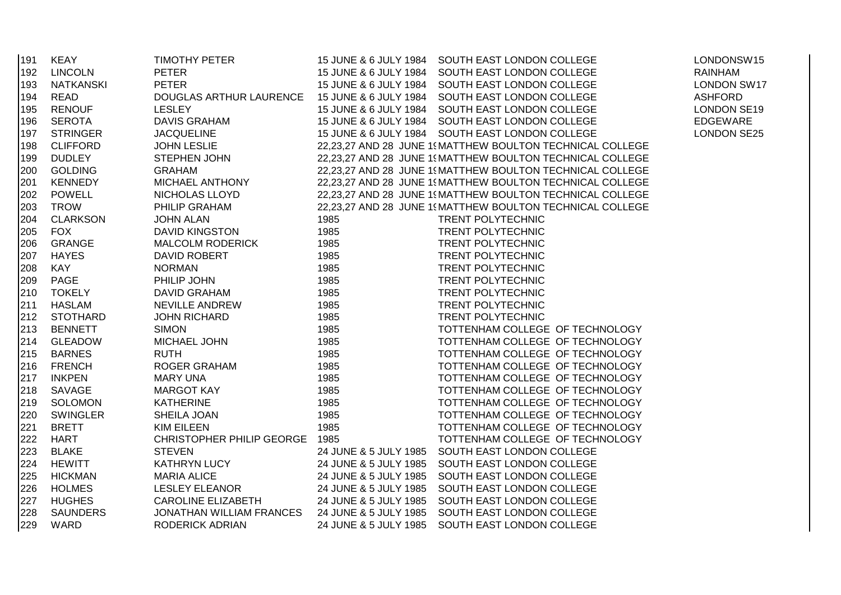| 191 | <b>KEAY</b>     | <b>TIMOTHY PETER</b>      |      | 15 JUNE & 6 JULY 1984 SOUTH EAST LONDON COLLEGE                          | LONDONSW15         |
|-----|-----------------|---------------------------|------|--------------------------------------------------------------------------|--------------------|
| 192 | <b>LINCOLN</b>  | <b>PETER</b>              |      | 15 JUNE & 6 JULY 1984 SOUTH EAST LONDON COLLEGE                          | <b>RAINHAM</b>     |
| 193 | NATKANSKI       | <b>PETER</b>              |      | 15 JUNE & 6 JULY 1984 SOUTH EAST LONDON COLLEGE                          | <b>LONDON SW17</b> |
| 194 | READ            | DOUGLAS ARTHUR LAURENCE   |      | 15 JUNE & 6 JULY 1984 SOUTH EAST LONDON COLLEGE                          | <b>ASHFORD</b>     |
| 195 | <b>RENOUF</b>   | <b>LESLEY</b>             |      | 15 JUNE & 6 JULY 1984 SOUTH EAST LONDON COLLEGE                          | <b>LONDON SE19</b> |
| 196 | SEROTA          | <b>DAVIS GRAHAM</b>       |      | 15 JUNE & 6 JULY 1984 SOUTH EAST LONDON COLLEGE                          | EDGEWARE           |
| 197 | <b>STRINGER</b> | <b>JACQUELINE</b>         |      | 15 JUNE & 6 JULY 1984 SOUTH EAST LONDON COLLEGE                          | <b>LONDON SE25</b> |
| 198 | <b>CLIFFORD</b> | <b>JOHN LESLIE</b>        |      | 22,23,27 AND 28 JUNE 1 MATTHEW BOULTON TECHNICAL COLLEGE                 |                    |
| 199 | <b>DUDLEY</b>   | <b>STEPHEN JOHN</b>       |      | 22,23,27 AND 28 JUNE 1\{MATTHEW BOULTON TECHNICAL COLLEGE                |                    |
| 200 | <b>GOLDING</b>  | <b>GRAHAM</b>             |      | 22,23,27 AND 28 JUNE 19MATTHEW BOULTON TECHNICAL COLLEGE                 |                    |
| 201 | <b>KENNEDY</b>  | MICHAEL ANTHONY           |      | 22,23,27 AND 28 JUNE 19MATTHEW BOULTON TECHNICAL COLLEGE                 |                    |
| 202 | <b>POWELL</b>   | NICHOLAS LLOYD            |      | 22,23,27 AND 28 JUNE 19MATTHEW BOULTON TECHNICAL COLLEGE                 |                    |
| 203 | TROW            | PHILIP GRAHAM             |      | 22,23,27 AND 28 JUNE 19MATTHEW BOULTON TECHNICAL COLLEGE                 |                    |
| 204 | <b>CLARKSON</b> | <b>JOHN ALAN</b>          | 1985 | TRENT POLYTECHNIC                                                        |                    |
| 205 | <b>FOX</b>      | <b>DAVID KINGSTON</b>     | 1985 | TRENT POLYTECHNIC                                                        |                    |
| 206 | GRANGE          | <b>MALCOLM RODERICK</b>   | 1985 | TRENT POLYTECHNIC                                                        |                    |
| 207 | <b>HAYES</b>    | <b>DAVID ROBERT</b>       | 1985 | TRENT POLYTECHNIC                                                        |                    |
| 208 | KAY             | <b>NORMAN</b>             | 1985 | TRENT POLYTECHNIC                                                        |                    |
| 209 | PAGE            | PHILIP JOHN               | 1985 | TRENT POLYTECHNIC                                                        |                    |
| 210 | <b>TOKELY</b>   | <b>DAVID GRAHAM</b>       | 1985 | TRENT POLYTECHNIC                                                        |                    |
| 211 | <b>HASLAM</b>   | NEVILLE ANDREW            | 1985 | TRENT POLYTECHNIC                                                        |                    |
| 212 | <b>STOTHARD</b> | <b>JOHN RICHARD</b>       | 1985 | TRENT POLYTECHNIC                                                        |                    |
| 213 | <b>BENNETT</b>  | <b>SIMON</b>              | 1985 | TOTTENHAM COLLEGE OF TECHNOLOGY                                          |                    |
| 214 | <b>GLEADOW</b>  | MICHAEL JOHN              | 1985 | TOTTENHAM COLLEGE OF TECHNOLOGY                                          |                    |
| 215 | <b>BARNES</b>   | <b>RUTH</b>               | 1985 | TOTTENHAM COLLEGE OF TECHNOLOGY                                          |                    |
| 216 | <b>FRENCH</b>   | <b>ROGER GRAHAM</b>       | 1985 | TOTTENHAM COLLEGE OF TECHNOLOGY                                          |                    |
| 217 | <b>INKPEN</b>   | <b>MARY UNA</b>           | 1985 | TOTTENHAM COLLEGE OF TECHNOLOGY                                          |                    |
| 218 | SAVAGE          | <b>MARGOT KAY</b>         | 1985 | TOTTENHAM COLLEGE OF TECHNOLOGY                                          |                    |
| 219 | SOLOMON         | <b>KATHERINE</b>          | 1985 | TOTTENHAM COLLEGE OF TECHNOLOGY                                          |                    |
| 220 | <b>SWINGLER</b> | SHEILA JOAN               | 1985 | TOTTENHAM COLLEGE OF TECHNOLOGY                                          |                    |
| 221 | <b>BRETT</b>    | <b>KIM EILEEN</b>         | 1985 | TOTTENHAM COLLEGE OF TECHNOLOGY                                          |                    |
| 222 | <b>HART</b>     | CHRISTOPHER PHILIP GEORGE | 1985 | TOTTENHAM COLLEGE OF TECHNOLOGY                                          |                    |
| 223 | <b>BLAKE</b>    | <b>STEVEN</b>             |      | 24 JUNE & 5 JULY 1985 SOUTH EAST LONDON COLLEGE                          |                    |
| 224 | <b>HEWITT</b>   | <b>KATHRYN LUCY</b>       |      | 24 JUNE & 5 JULY 1985 SOUTH EAST LONDON COLLEGE                          |                    |
| 225 | <b>HICKMAN</b>  | <b>MARIA ALICE</b>        |      | 24 JUNE & 5 JULY 1985 SOUTH EAST LONDON COLLEGE                          |                    |
| 226 | <b>HOLMES</b>   | LESLEY ELEANOR            |      | 24 JUNE & 5 JULY 1985 SOUTH EAST LONDON COLLEGE                          |                    |
| 227 | <b>HUGHES</b>   | <b>CAROLINE ELIZABETH</b> |      | 24 JUNE & 5 JULY 1985 SOUTH EAST LONDON COLLEGE                          |                    |
| 228 | <b>SAUNDERS</b> |                           |      | JONATHAN WILLIAM FRANCES 24 JUNE & 5 JULY 1985 SOUTH EAST LONDON COLLEGE |                    |
| 229 | WARD            | <b>RODERICK ADRIAN</b>    |      | 24 JUNE & 5 JULY 1985 SOUTH EAST LONDON COLLEGE                          |                    |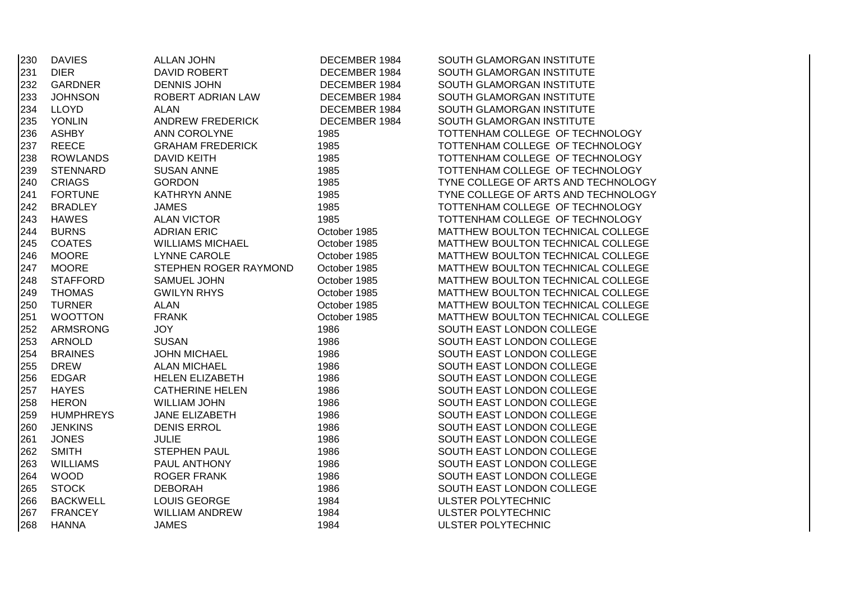| 230 | <b>DAVIES</b>    | <b>ALLAN JOHN</b>       | DECEMBER 1984 | SOUTH GLAMORGAN INSTITUTE           |
|-----|------------------|-------------------------|---------------|-------------------------------------|
| 231 | <b>DIER</b>      | DAVID ROBERT            | DECEMBER 1984 | SOUTH GLAMORGAN INSTITUTE           |
| 232 | <b>GARDNER</b>   | <b>DENNIS JOHN</b>      | DECEMBER 1984 | SOUTH GLAMORGAN INSTITUTE           |
| 233 | <b>JOHNSON</b>   | ROBERT ADRIAN LAW       | DECEMBER 1984 | SOUTH GLAMORGAN INSTITUTE           |
| 234 | <b>LLOYD</b>     | <b>ALAN</b>             | DECEMBER 1984 | SOUTH GLAMORGAN INSTITUTE           |
| 235 | <b>YONLIN</b>    | <b>ANDREW FREDERICK</b> | DECEMBER 1984 | SOUTH GLAMORGAN INSTITUTE           |
| 236 | <b>ASHBY</b>     | ANN COROLYNE            | 1985          | TOTTENHAM COLLEGE OF TECHNOLOGY     |
| 237 | <b>REECE</b>     | <b>GRAHAM FREDERICK</b> | 1985          | TOTTENHAM COLLEGE OF TECHNOLOGY     |
| 238 | <b>ROWLANDS</b>  | <b>DAVID KEITH</b>      | 1985          | TOTTENHAM COLLEGE OF TECHNOLOGY     |
| 239 | <b>STENNARD</b>  | <b>SUSAN ANNE</b>       | 1985          | TOTTENHAM COLLEGE OF TECHNOLOGY     |
| 240 | <b>CRIAGS</b>    | <b>GORDON</b>           | 1985          | TYNE COLLEGE OF ARTS AND TECHNOLOGY |
| 241 | <b>FORTUNE</b>   | <b>KATHRYN ANNE</b>     | 1985          | TYNE COLLEGE OF ARTS AND TECHNOLOGY |
| 242 | <b>BRADLEY</b>   | <b>JAMES</b>            | 1985          | TOTTENHAM COLLEGE OF TECHNOLOGY     |
| 243 | <b>HAWES</b>     | <b>ALAN VICTOR</b>      | 1985          | TOTTENHAM COLLEGE OF TECHNOLOGY     |
| 244 | <b>BURNS</b>     | <b>ADRIAN ERIC</b>      | October 1985  | MATTHEW BOULTON TECHNICAL COLLEGE   |
| 245 | <b>COATES</b>    | <b>WILLIAMS MICHAEL</b> | October 1985  | MATTHEW BOULTON TECHNICAL COLLEGE   |
| 246 | <b>MOORE</b>     | <b>LYNNE CAROLE</b>     | October 1985  | MATTHEW BOULTON TECHNICAL COLLEGE   |
| 247 | <b>MOORE</b>     | STEPHEN ROGER RAYMOND   | October 1985  | MATTHEW BOULTON TECHNICAL COLLEGE   |
| 248 | <b>STAFFORD</b>  | SAMUEL JOHN             | October 1985  | MATTHEW BOULTON TECHNICAL COLLEGE   |
| 249 | <b>THOMAS</b>    | <b>GWILYN RHYS</b>      | October 1985  | MATTHEW BOULTON TECHNICAL COLLEGE   |
| 250 | <b>TURNER</b>    | <b>ALAN</b>             | October 1985  | MATTHEW BOULTON TECHNICAL COLLEGE   |
| 251 | <b>WOOTTON</b>   | <b>FRANK</b>            | October 1985  | MATTHEW BOULTON TECHNICAL COLLEGE   |
| 252 | <b>ARMSRONG</b>  | <b>JOY</b>              | 1986          | SOUTH EAST LONDON COLLEGE           |
| 253 | <b>ARNOLD</b>    | <b>SUSAN</b>            | 1986          | SOUTH EAST LONDON COLLEGE           |
| 254 | <b>BRAINES</b>   | <b>JOHN MICHAEL</b>     | 1986          | SOUTH EAST LONDON COLLEGE           |
| 255 | <b>DREW</b>      | <b>ALAN MICHAEL</b>     | 1986          | SOUTH EAST LONDON COLLEGE           |
| 256 | <b>EDGAR</b>     | <b>HELEN ELIZABETH</b>  | 1986          | SOUTH EAST LONDON COLLEGE           |
| 257 | <b>HAYES</b>     | <b>CATHERINE HELEN</b>  | 1986          | SOUTH EAST LONDON COLLEGE           |
| 258 | <b>HERON</b>     | <b>WILLIAM JOHN</b>     | 1986          | SOUTH EAST LONDON COLLEGE           |
| 259 | <b>HUMPHREYS</b> | JANE ELIZABETH          | 1986          | SOUTH EAST LONDON COLLEGE           |
| 260 | <b>JENKINS</b>   | <b>DENIS ERROL</b>      | 1986          | SOUTH EAST LONDON COLLEGE           |
| 261 | <b>JONES</b>     | <b>JULIE</b>            | 1986          | SOUTH EAST LONDON COLLEGE           |
| 262 | <b>SMITH</b>     | <b>STEPHEN PAUL</b>     | 1986          | SOUTH EAST LONDON COLLEGE           |
| 263 | <b>WILLIAMS</b>  | PAUL ANTHONY            | 1986          | SOUTH EAST LONDON COLLEGE           |
| 264 | <b>WOOD</b>      | <b>ROGER FRANK</b>      | 1986          | SOUTH EAST LONDON COLLEGE           |
| 265 | <b>STOCK</b>     | <b>DEBORAH</b>          | 1986          | SOUTH EAST LONDON COLLEGE           |
| 266 | <b>BACKWELL</b>  | LOUIS GEORGE            | 1984          | ULSTER POLYTECHNIC                  |
| 267 | <b>FRANCEY</b>   | <b>WILLIAM ANDREW</b>   | 1984          | ULSTER POLYTECHNIC                  |
| 268 | <b>HANNA</b>     | <b>JAMES</b>            | 1984          | ULSTER POLYTECHNIC                  |
|     |                  |                         |               |                                     |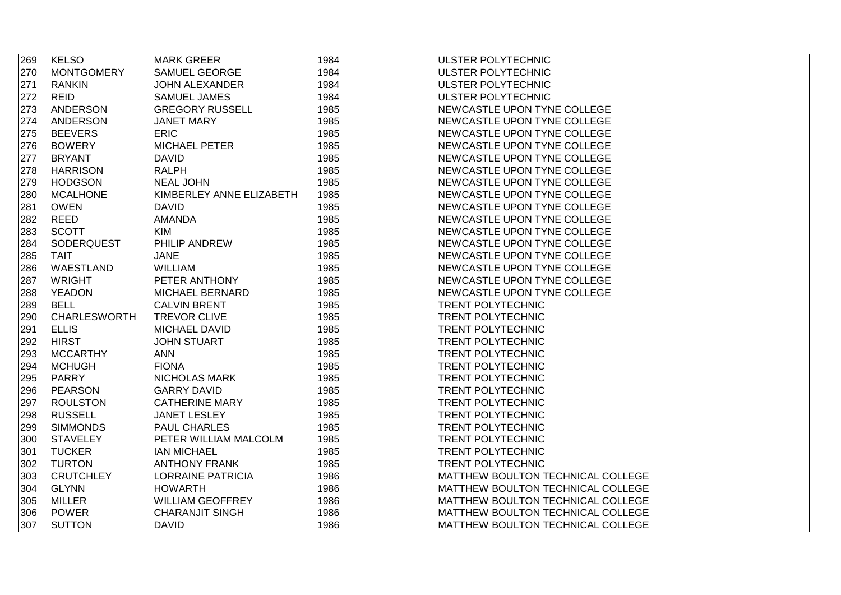| 269 | <b>KELSO</b>        | <b>MARK GREER</b>        | 1984 | ULSTER POLYTECHNIC                |
|-----|---------------------|--------------------------|------|-----------------------------------|
| 270 | <b>MONTGOMERY</b>   | SAMUEL GEORGE            | 1984 | <b>ULSTER POLYTECHNIC</b>         |
| 271 | <b>RANKIN</b>       | <b>JOHN ALEXANDER</b>    | 1984 | <b>ULSTER POLYTECHNIC</b>         |
| 272 | <b>REID</b>         | <b>SAMUEL JAMES</b>      | 1984 | <b>ULSTER POLYTECHNIC</b>         |
| 273 | ANDERSON            | <b>GREGORY RUSSELL</b>   | 1985 | NEWCASTLE UPON TYNE COLLEGE       |
| 274 | ANDERSON            | <b>JANET MARY</b>        | 1985 | NEWCASTLE UPON TYNE COLLEGE       |
| 275 | <b>BEEVERS</b>      | <b>ERIC</b>              | 1985 | NEWCASTLE UPON TYNE COLLEGE       |
| 276 | <b>BOWERY</b>       | <b>MICHAEL PETER</b>     | 1985 | NEWCASTLE UPON TYNE COLLEGE       |
| 277 | <b>BRYANT</b>       | <b>DAVID</b>             | 1985 | NEWCASTLE UPON TYNE COLLEGE       |
| 278 | <b>HARRISON</b>     | <b>RALPH</b>             | 1985 | NEWCASTLE UPON TYNE COLLEGE       |
| 279 | <b>HODGSON</b>      | <b>NEAL JOHN</b>         | 1985 | NEWCASTLE UPON TYNE COLLEGE       |
| 280 | <b>MCALHONE</b>     | KIMBERLEY ANNE ELIZABETH | 1985 | NEWCASTLE UPON TYNE COLLEGE       |
| 281 | <b>OWEN</b>         | <b>DAVID</b>             | 1985 | NEWCASTLE UPON TYNE COLLEGE       |
| 282 | <b>REED</b>         | <b>AMANDA</b>            | 1985 | NEWCASTLE UPON TYNE COLLEGE       |
| 283 | <b>SCOTT</b>        | KIM                      | 1985 | NEWCASTLE UPON TYNE COLLEGE       |
| 284 | SODERQUEST          | PHILIP ANDREW            | 1985 | NEWCASTLE UPON TYNE COLLEGE       |
| 285 | <b>TAIT</b>         | <b>JANE</b>              | 1985 | NEWCASTLE UPON TYNE COLLEGE       |
| 286 | WAESTLAND           | <b>WILLIAM</b>           | 1985 | NEWCASTLE UPON TYNE COLLEGE       |
| 287 | <b>WRIGHT</b>       | PETER ANTHONY            | 1985 | NEWCASTLE UPON TYNE COLLEGE       |
| 288 | <b>YEADON</b>       | MICHAEL BERNARD          | 1985 | NEWCASTLE UPON TYNE COLLEGE       |
| 289 | <b>BELL</b>         | <b>CALVIN BRENT</b>      | 1985 | <b>TRENT POLYTECHNIC</b>          |
| 290 | <b>CHARLESWORTH</b> | <b>TREVOR CLIVE</b>      | 1985 | TRENT POLYTECHNIC                 |
| 291 | <b>ELLIS</b>        | MICHAEL DAVID            | 1985 | <b>TRENT POLYTECHNIC</b>          |
| 292 | <b>HIRST</b>        | <b>JOHN STUART</b>       | 1985 | <b>TRENT POLYTECHNIC</b>          |
| 293 | <b>MCCARTHY</b>     | <b>ANN</b>               | 1985 | <b>TRENT POLYTECHNIC</b>          |
| 294 | <b>MCHUGH</b>       | <b>FIONA</b>             | 1985 | <b>TRENT POLYTECHNIC</b>          |
| 295 | <b>PARRY</b>        | <b>NICHOLAS MARK</b>     | 1985 | <b>TRENT POLYTECHNIC</b>          |
| 296 | <b>PEARSON</b>      | <b>GARRY DAVID</b>       | 1985 | TRENT POLYTECHNIC                 |
| 297 | <b>ROULSTON</b>     | <b>CATHERINE MARY</b>    | 1985 | TRENT POLYTECHNIC                 |
| 298 | <b>RUSSELL</b>      | <b>JANET LESLEY</b>      | 1985 | <b>TRENT POLYTECHNIC</b>          |
| 299 | <b>SIMMONDS</b>     | <b>PAUL CHARLES</b>      | 1985 | TRENT POLYTECHNIC                 |
| 300 | <b>STAVELEY</b>     | PETER WILLIAM MALCOLM    | 1985 | TRENT POLYTECHNIC                 |
| 301 | <b>TUCKER</b>       | <b>IAN MICHAEL</b>       | 1985 | <b>TRENT POLYTECHNIC</b>          |
| 302 | <b>TURTON</b>       | <b>ANTHONY FRANK</b>     | 1985 | TRENT POLYTECHNIC                 |
| 303 | <b>CRUTCHLEY</b>    | <b>LORRAINE PATRICIA</b> | 1986 | MATTHEW BOULTON TECHNICAL COLLEGE |
| 304 | <b>GLYNN</b>        | <b>HOWARTH</b>           | 1986 | MATTHEW BOULTON TECHNICAL COLLEGE |
| 305 | <b>MILLER</b>       | <b>WILLIAM GEOFFREY</b>  | 1986 | MATTHEW BOULTON TECHNICAL COLLEGE |
| 306 | <b>POWER</b>        | <b>CHARANJIT SINGH</b>   | 1986 | MATTHEW BOULTON TECHNICAL COLLEGE |
| 307 | <b>SUTTON</b>       | <b>DAVID</b>             | 1986 | MATTHEW BOULTON TECHNICAL COLLEGE |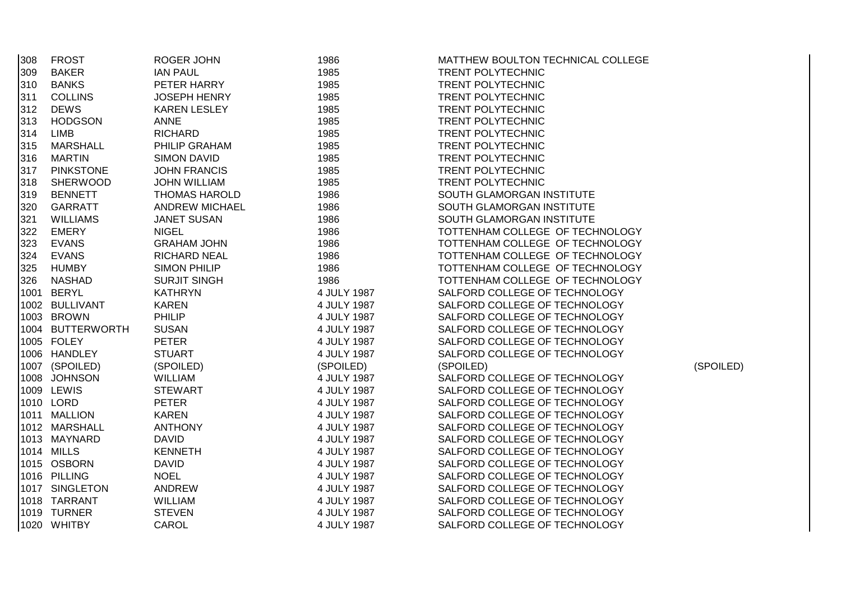| 308 | <b>FROST</b>     | ROGER JOHN            | 1986        | MATTHEW BOULTON TECHNICAL COLLEGE |           |
|-----|------------------|-----------------------|-------------|-----------------------------------|-----------|
| 309 | <b>BAKER</b>     | <b>IAN PAUL</b>       | 1985        | <b>TRENT POLYTECHNIC</b>          |           |
| 310 | <b>BANKS</b>     | PETER HARRY           | 1985        | <b>TRENT POLYTECHNIC</b>          |           |
| 311 | <b>COLLINS</b>   | <b>JOSEPH HENRY</b>   | 1985        | <b>TRENT POLYTECHNIC</b>          |           |
| 312 | <b>DEWS</b>      | <b>KAREN LESLEY</b>   | 1985        | <b>TRENT POLYTECHNIC</b>          |           |
| 313 | <b>HODGSON</b>   | <b>ANNE</b>           | 1985        | <b>TRENT POLYTECHNIC</b>          |           |
| 314 | <b>LIMB</b>      | <b>RICHARD</b>        | 1985        | <b>TRENT POLYTECHNIC</b>          |           |
| 315 | <b>MARSHALL</b>  | PHILIP GRAHAM         | 1985        | <b>TRENT POLYTECHNIC</b>          |           |
| 316 | <b>MARTIN</b>    | <b>SIMON DAVID</b>    | 1985        | <b>TRENT POLYTECHNIC</b>          |           |
| 317 | <b>PINKSTONE</b> | <b>JOHN FRANCIS</b>   | 1985        | <b>TRENT POLYTECHNIC</b>          |           |
| 318 | <b>SHERWOOD</b>  | <b>JOHN WILLIAM</b>   | 1985        | <b>TRENT POLYTECHNIC</b>          |           |
| 319 | <b>BENNETT</b>   | <b>THOMAS HAROLD</b>  | 1986        | SOUTH GLAMORGAN INSTITUTE         |           |
| 320 | <b>GARRATT</b>   | <b>ANDREW MICHAEL</b> | 1986        | SOUTH GLAMORGAN INSTITUTE         |           |
| 321 | <b>WILLIAMS</b>  | <b>JANET SUSAN</b>    | 1986        | SOUTH GLAMORGAN INSTITUTE         |           |
| 322 | <b>EMERY</b>     | <b>NIGEL</b>          | 1986        | TOTTENHAM COLLEGE OF TECHNOLOGY   |           |
| 323 | <b>EVANS</b>     | <b>GRAHAM JOHN</b>    | 1986        | TOTTENHAM COLLEGE OF TECHNOLOGY   |           |
| 324 | <b>EVANS</b>     | <b>RICHARD NEAL</b>   | 1986        | TOTTENHAM COLLEGE OF TECHNOLOGY   |           |
| 325 | <b>HUMBY</b>     | <b>SIMON PHILIP</b>   | 1986        | TOTTENHAM COLLEGE OF TECHNOLOGY   |           |
| 326 | <b>NASHAD</b>    | <b>SURJIT SINGH</b>   | 1986        | TOTTENHAM COLLEGE OF TECHNOLOGY   |           |
|     | 1001 BERYL       | <b>KATHRYN</b>        | 4 JULY 1987 | SALFORD COLLEGE OF TECHNOLOGY     |           |
|     | 1002 BULLIVANT   | <b>KAREN</b>          | 4 JULY 1987 | SALFORD COLLEGE OF TECHNOLOGY     |           |
|     | 1003 BROWN       | <b>PHILIP</b>         | 4 JULY 1987 | SALFORD COLLEGE OF TECHNOLOGY     |           |
|     | 1004 BUTTERWORTH | <b>SUSAN</b>          | 4 JULY 1987 | SALFORD COLLEGE OF TECHNOLOGY     |           |
|     | 1005 FOLEY       | <b>PETER</b>          | 4 JULY 1987 | SALFORD COLLEGE OF TECHNOLOGY     |           |
|     | 1006 HANDLEY     | <b>STUART</b>         | 4 JULY 1987 | SALFORD COLLEGE OF TECHNOLOGY     |           |
|     | 1007 (SPOILED)   | (SPOILED)             | (SPOILED)   | (SPOILED)                         | (SPOILED) |
|     | 1008 JOHNSON     | WILLIAM               | 4 JULY 1987 | SALFORD COLLEGE OF TECHNOLOGY     |           |
|     | 1009 LEWIS       | <b>STEWART</b>        | 4 JULY 1987 | SALFORD COLLEGE OF TECHNOLOGY     |           |
|     | 1010 LORD        | <b>PETER</b>          | 4 JULY 1987 | SALFORD COLLEGE OF TECHNOLOGY     |           |
|     | 1011 MALLION     | <b>KAREN</b>          | 4 JULY 1987 | SALFORD COLLEGE OF TECHNOLOGY     |           |
|     | 1012 MARSHALL    | <b>ANTHONY</b>        | 4 JULY 1987 | SALFORD COLLEGE OF TECHNOLOGY     |           |
|     | 1013 MAYNARD     | <b>DAVID</b>          | 4 JULY 1987 | SALFORD COLLEGE OF TECHNOLOGY     |           |
|     | 1014 MILLS       | <b>KENNETH</b>        | 4 JULY 1987 | SALFORD COLLEGE OF TECHNOLOGY     |           |
|     | 1015 OSBORN      | <b>DAVID</b>          | 4 JULY 1987 | SALFORD COLLEGE OF TECHNOLOGY     |           |
|     | 1016 PILLING     | <b>NOEL</b>           | 4 JULY 1987 | SALFORD COLLEGE OF TECHNOLOGY     |           |
|     | 1017 SINGLETON   | ANDREW                | 4 JULY 1987 | SALFORD COLLEGE OF TECHNOLOGY     |           |
|     | 1018 TARRANT     | WILLIAM               | 4 JULY 1987 | SALFORD COLLEGE OF TECHNOLOGY     |           |
|     | 1019 TURNER      | <b>STEVEN</b>         | 4 JULY 1987 | SALFORD COLLEGE OF TECHNOLOGY     |           |
|     | 1020 WHITBY      | <b>CAROL</b>          | 4 JULY 1987 | SALFORD COLLEGE OF TECHNOLOGY     |           |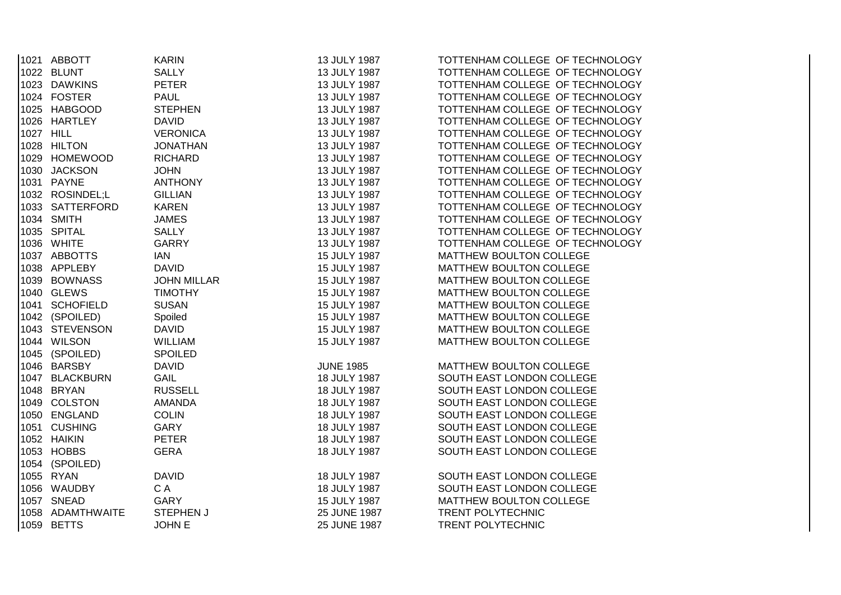| 1021 ABBOTT      | <b>KARIN</b>       | 13 JULY 1987     | TOTTENHAM COLLEGE OF TECHNOLOGY |
|------------------|--------------------|------------------|---------------------------------|
| 1022 BLUNT       | <b>SALLY</b>       | 13 JULY 1987     | TOTTENHAM COLLEGE OF TECHNOLOGY |
| 1023 DAWKINS     | <b>PETER</b>       | 13 JULY 1987     | TOTTENHAM COLLEGE OF TECHNOLOGY |
| 1024 FOSTER      | <b>PAUL</b>        | 13 JULY 1987     | TOTTENHAM COLLEGE OF TECHNOLOGY |
| 1025 HABGOOD     | <b>STEPHEN</b>     | 13 JULY 1987     | TOTTENHAM COLLEGE OF TECHNOLOGY |
| 1026 HARTLEY     | <b>DAVID</b>       | 13 JULY 1987     | TOTTENHAM COLLEGE OF TECHNOLOGY |
| 1027 HILL        | <b>VERONICA</b>    | 13 JULY 1987     | TOTTENHAM COLLEGE OF TECHNOLOGY |
| 1028 HILTON      | <b>JONATHAN</b>    | 13 JULY 1987     | TOTTENHAM COLLEGE OF TECHNOLOGY |
| 1029 HOMEWOOD    | <b>RICHARD</b>     | 13 JULY 1987     | TOTTENHAM COLLEGE OF TECHNOLOGY |
| 1030 JACKSON     | <b>JOHN</b>        | 13 JULY 1987     | TOTTENHAM COLLEGE OF TECHNOLOGY |
| 1031 PAYNE       | <b>ANTHONY</b>     | 13 JULY 1987     | TOTTENHAM COLLEGE OF TECHNOLOGY |
| 1032 ROSINDEL;L  | <b>GILLIAN</b>     | 13 JULY 1987     | TOTTENHAM COLLEGE OF TECHNOLOGY |
| 1033 SATTERFORD  | <b>KAREN</b>       | 13 JULY 1987     | TOTTENHAM COLLEGE OF TECHNOLOGY |
| 1034 SMITH       | <b>JAMES</b>       | 13 JULY 1987     | TOTTENHAM COLLEGE OF TECHNOLOGY |
| 1035 SPITAL      | <b>SALLY</b>       | 13 JULY 1987     | TOTTENHAM COLLEGE OF TECHNOLOGY |
| 1036 WHITE       | <b>GARRY</b>       | 13 JULY 1987     | TOTTENHAM COLLEGE OF TECHNOLOGY |
| 1037 ABBOTTS     | IAN                | 15 JULY 1987     | MATTHEW BOULTON COLLEGE         |
| 1038 APPLEBY     | <b>DAVID</b>       | 15 JULY 1987     | MATTHEW BOULTON COLLEGE         |
| 1039 BOWNASS     | <b>JOHN MILLAR</b> | 15 JULY 1987     | MATTHEW BOULTON COLLEGE         |
| 1040 GLEWS       | <b>TIMOTHY</b>     | 15 JULY 1987     | MATTHEW BOULTON COLLEGE         |
| 1041 SCHOFIELD   | <b>SUSAN</b>       | 15 JULY 1987     | MATTHEW BOULTON COLLEGE         |
| 1042 (SPOILED)   | Spoiled            | 15 JULY 1987     | MATTHEW BOULTON COLLEGE         |
| 1043 STEVENSON   | <b>DAVID</b>       | 15 JULY 1987     | MATTHEW BOULTON COLLEGE         |
| 1044 WILSON      | <b>WILLIAM</b>     | 15 JULY 1987     | MATTHEW BOULTON COLLEGE         |
| 1045 (SPOILED)   | <b>SPOILED</b>     |                  |                                 |
| 1046 BARSBY      | <b>DAVID</b>       | <b>JUNE 1985</b> | MATTHEW BOULTON COLLEGE         |
| 1047 BLACKBURN   | <b>GAIL</b>        | 18 JULY 1987     | SOUTH EAST LONDON COLLEGE       |
| 1048 BRYAN       | <b>RUSSELL</b>     | 18 JULY 1987     | SOUTH EAST LONDON COLLEGE       |
| 1049 COLSTON     | <b>AMANDA</b>      | 18 JULY 1987     | SOUTH EAST LONDON COLLEGE       |
| 1050 ENGLAND     | <b>COLIN</b>       | 18 JULY 1987     | SOUTH EAST LONDON COLLEGE       |
| 1051 CUSHING     | <b>GARY</b>        | 18 JULY 1987     | SOUTH EAST LONDON COLLEGE       |
| 1052 HAIKIN      | <b>PETER</b>       | 18 JULY 1987     | SOUTH EAST LONDON COLLEGE       |
| 1053 HOBBS       | <b>GERA</b>        | 18 JULY 1987     | SOUTH EAST LONDON COLLEGE       |
| 1054 (SPOILED)   |                    |                  |                                 |
| 1055 RYAN        | <b>DAVID</b>       | 18 JULY 1987     | SOUTH EAST LONDON COLLEGE       |
| 1056 WAUDBY      | C A                | 18 JULY 1987     | SOUTH EAST LONDON COLLEGE       |
| 1057 SNEAD       | GARY               | 15 JULY 1987     | MATTHEW BOULTON COLLEGE         |
| 1058 ADAMTHWAITE | <b>STEPHEN J</b>   | 25 JUNE 1987     | <b>TRENT POLYTECHNIC</b>        |
| 1059 BETTS       | <b>JOHN E</b>      | 25 JUNE 1987     | <b>TRENT POLYTECHNIC</b>        |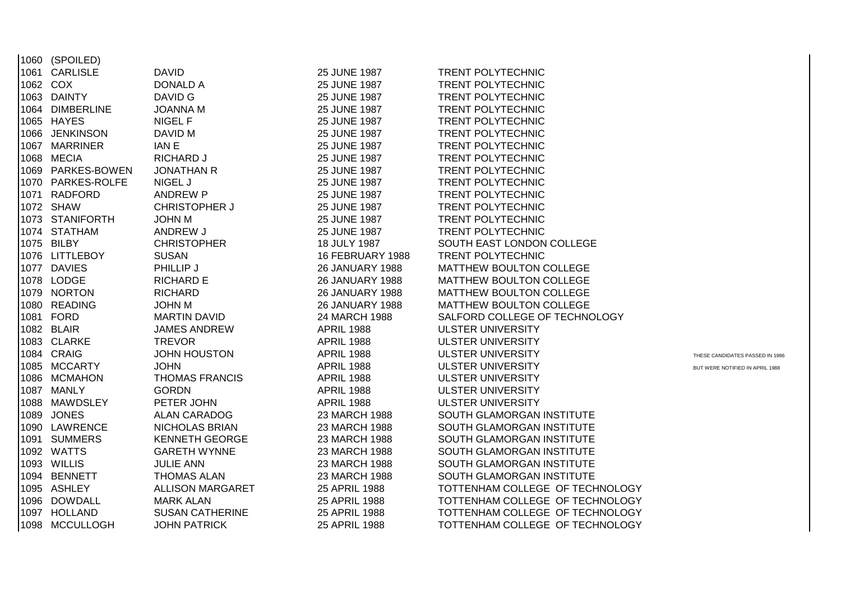|          | 1060 (SPOILED)      |                         |                        |                                 |                                 |
|----------|---------------------|-------------------------|------------------------|---------------------------------|---------------------------------|
| 1061     | <b>CARLISLE</b>     | <b>DAVID</b>            | 25 JUNE 1987           | <b>TRENT POLYTECHNIC</b>        |                                 |
| 1062 COX |                     | <b>DONALD A</b>         | 25 JUNE 1987           | <b>TRENT POLYTECHNIC</b>        |                                 |
|          | 1063 DAINTY         | DAVID G                 | 25 JUNE 1987           | <b>TRENT POLYTECHNIC</b>        |                                 |
|          | 1064 DIMBERLINE     | <b>JOANNA M</b>         | 25 JUNE 1987           | <b>TRENT POLYTECHNIC</b>        |                                 |
|          | 1065 HAYES          | NIGEL F                 | 25 JUNE 1987           | <b>TRENT POLYTECHNIC</b>        |                                 |
|          | 1066 JENKINSON      | DAVID M                 | 25 JUNE 1987           | <b>TRENT POLYTECHNIC</b>        |                                 |
| 1067     | <b>MARRINER</b>     | <b>IANE</b>             | 25 JUNE 1987           | TRENT POLYTECHNIC               |                                 |
|          | 1068 MECIA          | RICHARD J               | 25 JUNE 1987           | <b>TRENT POLYTECHNIC</b>        |                                 |
| 1069     | PARKES-BOWEN        | <b>JONATHAN R</b>       | 25 JUNE 1987           | TRENT POLYTECHNIC               |                                 |
| 1070     | <b>PARKES-ROLFE</b> | NIGEL J                 | 25 JUNE 1987           | TRENT POLYTECHNIC               |                                 |
| 1071     | <b>RADFORD</b>      | <b>ANDREW P</b>         | 25 JUNE 1987           | TRENT POLYTECHNIC               |                                 |
|          | 1072 SHAW           | <b>CHRISTOPHER J</b>    | 25 JUNE 1987           | TRENT POLYTECHNIC               |                                 |
|          | 1073 STANIFORTH     | <b>JOHN M</b>           | 25 JUNE 1987           | <b>TRENT POLYTECHNIC</b>        |                                 |
|          | 1074 STATHAM        | ANDREW J                | 25 JUNE 1987           | <b>TRENT POLYTECHNIC</b>        |                                 |
|          | 1075 BILBY          | <b>CHRISTOPHER</b>      | 18 JULY 1987           | SOUTH EAST LONDON COLLEGE       |                                 |
|          | 1076 LITTLEBOY      | <b>SUSAN</b>            | 16 FEBRUARY 1988       | TRENT POLYTECHNIC               |                                 |
|          | 1077 DAVIES         | PHILLIP J               | <b>26 JANUARY 1988</b> | MATTHEW BOULTON COLLEGE         |                                 |
|          | 1078 LODGE          | <b>RICHARD E</b>        | <b>26 JANUARY 1988</b> | MATTHEW BOULTON COLLEGE         |                                 |
|          | 1079 NORTON         | <b>RICHARD</b>          | <b>26 JANUARY 1988</b> | MATTHEW BOULTON COLLEGE         |                                 |
|          | 1080 READING        | <b>JOHN M</b>           | <b>26 JANUARY 1988</b> | MATTHEW BOULTON COLLEGE         |                                 |
|          | 1081 FORD           | <b>MARTIN DAVID</b>     | 24 MARCH 1988          | SALFORD COLLEGE OF TECHNOLOGY   |                                 |
|          | 1082 BLAIR          | <b>JAMES ANDREW</b>     | <b>APRIL 1988</b>      | <b>ULSTER UNIVERSITY</b>        |                                 |
|          | 1083 CLARKE         | <b>TREVOR</b>           | <b>APRIL 1988</b>      | <b>ULSTER UNIVERSITY</b>        |                                 |
|          | 1084 CRAIG          | <b>JOHN HOUSTON</b>     | <b>APRIL 1988</b>      | <b>ULSTER UNIVERSITY</b>        | THESE CANDIDATES PASSED IN 1986 |
|          | 1085 MCCARTY        | <b>JOHN</b>             | <b>APRIL 1988</b>      | <b>ULSTER UNIVERSITY</b>        | BUT WERE NOTIFIED IN APRIL 1988 |
|          | 1086 MCMAHON        | <b>THOMAS FRANCIS</b>   | <b>APRIL 1988</b>      | <b>ULSTER UNIVERSITY</b>        |                                 |
|          | 1087 MANLY          | <b>GORDN</b>            | <b>APRIL 1988</b>      | <b>ULSTER UNIVERSITY</b>        |                                 |
|          | 1088 MAWDSLEY       | PETER JOHN              | <b>APRIL 1988</b>      | <b>ULSTER UNIVERSITY</b>        |                                 |
|          | 1089 JONES          | <b>ALAN CARADOG</b>     | 23 MARCH 1988          | SOUTH GLAMORGAN INSTITUTE       |                                 |
|          | 1090 LAWRENCE       | NICHOLAS BRIAN          | 23 MARCH 1988          | SOUTH GLAMORGAN INSTITUTE       |                                 |
| 1091     | <b>SUMMERS</b>      | <b>KENNETH GEORGE</b>   | 23 MARCH 1988          | SOUTH GLAMORGAN INSTITUTE       |                                 |
|          | 1092 WATTS          | <b>GARETH WYNNE</b>     | 23 MARCH 1988          | SOUTH GLAMORGAN INSTITUTE       |                                 |
|          | 1093 WILLIS         | <b>JULIE ANN</b>        | 23 MARCH 1988          | SOUTH GLAMORGAN INSTITUTE       |                                 |
|          | 1094 BENNETT        | <b>THOMAS ALAN</b>      | 23 MARCH 1988          | SOUTH GLAMORGAN INSTITUTE       |                                 |
|          | 1095 ASHLEY         | <b>ALLISON MARGARET</b> | 25 APRIL 1988          | TOTTENHAM COLLEGE OF TECHNOLOGY |                                 |
|          | 1096 DOWDALL        | <b>MARK ALAN</b>        | 25 APRIL 1988          | TOTTENHAM COLLEGE OF TECHNOLOGY |                                 |
|          | 1097 HOLLAND        | <b>SUSAN CATHERINE</b>  | 25 APRIL 1988          | TOTTENHAM COLLEGE OF TECHNOLOGY |                                 |
|          | 1098 MCCULLOGH      | <b>JOHN PATRICK</b>     | 25 APRIL 1988          | TOTTENHAM COLLEGE OF TECHNOLOGY |                                 |
|          |                     |                         |                        |                                 |                                 |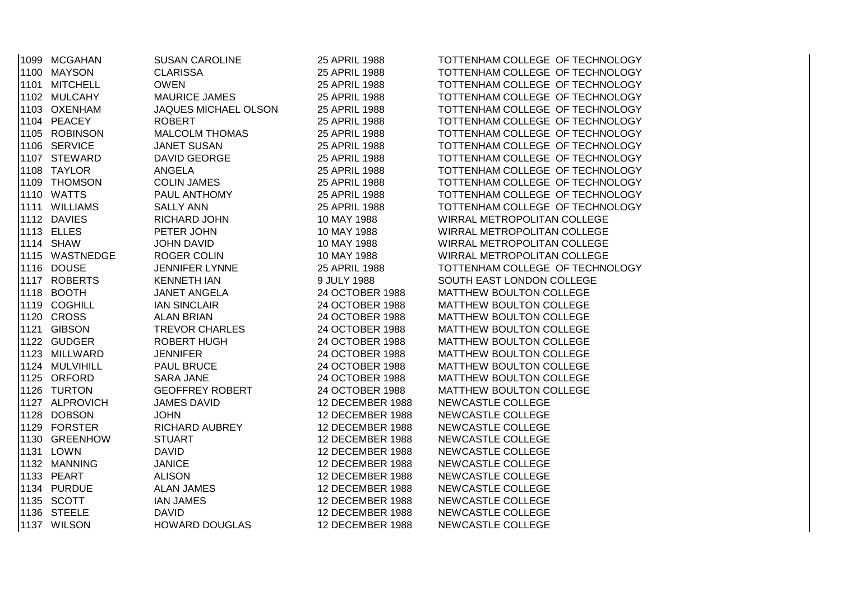|  | 1099 MCGAHAN   | SUSAN CAROLINE         | 25 APRIL 1988    | TOTTENHAM COLLEGE OF TECHNOLOGY |
|--|----------------|------------------------|------------------|---------------------------------|
|  | 1100 MAYSON    | <b>CLARISSA</b>        | 25 APRIL 1988    | TOTTENHAM COLLEGE OF TECHNOLOGY |
|  | 1101 MITCHELL  | <b>OWEN</b>            | 25 APRIL 1988    | TOTTENHAM COLLEGE OF TECHNOLOGY |
|  | 1102 MULCAHY   | <b>MAURICE JAMES</b>   | 25 APRIL 1988    | TOTTENHAM COLLEGE OF TECHNOLOGY |
|  | 1103 OXENHAM   | JAQUES MICHAEL OLSON   | 25 APRIL 1988    | TOTTENHAM COLLEGE OF TECHNOLOGY |
|  | 1104 PEACEY    | <b>ROBERT</b>          | 25 APRIL 1988    | TOTTENHAM COLLEGE OF TECHNOLOGY |
|  | 1105 ROBINSON  | <b>MALCOLM THOMAS</b>  | 25 APRIL 1988    | TOTTENHAM COLLEGE OF TECHNOLOGY |
|  | 1106 SERVICE   | <b>JANET SUSAN</b>     | 25 APRIL 1988    | TOTTENHAM COLLEGE OF TECHNOLOGY |
|  | 1107 STEWARD   | DAVID GEORGE           | 25 APRIL 1988    | TOTTENHAM COLLEGE OF TECHNOLOGY |
|  | 1108 TAYLOR    | ANGELA                 | 25 APRIL 1988    | TOTTENHAM COLLEGE OF TECHNOLOGY |
|  | 1109 THOMSON   | <b>COLIN JAMES</b>     | 25 APRIL 1988    | TOTTENHAM COLLEGE OF TECHNOLOGY |
|  | 1110 WATTS     | PAUL ANTHOMY           | 25 APRIL 1988    | TOTTENHAM COLLEGE OF TECHNOLOGY |
|  | 1111 WILLIAMS  | <b>SALLY ANN</b>       | 25 APRIL 1988    | TOTTENHAM COLLEGE OF TECHNOLOGY |
|  | 1112 DAVIES    | RICHARD JOHN           | 10 MAY 1988      | WIRRAL METROPOLITAN COLLEGE     |
|  | 1113 ELLES     | PETER JOHN             | 10 MAY 1988      | WIRRAL METROPOLITAN COLLEGE     |
|  | 1114 SHAW      | <b>JOHN DAVID</b>      | 10 MAY 1988      | WIRRAL METROPOLITAN COLLEGE     |
|  | 1115 WASTNEDGE | <b>ROGER COLIN</b>     | 10 MAY 1988      | WIRRAL METROPOLITAN COLLEGE     |
|  | 1116 DOUSE     | <b>JENNIFER LYNNE</b>  | 25 APRIL 1988    | TOTTENHAM COLLEGE OF TECHNOLOGY |
|  | 1117 ROBERTS   | <b>KENNETH IAN</b>     | 9 JULY 1988      | SOUTH EAST LONDON COLLEGE       |
|  | 1118 BOOTH     | JANET ANGELA           | 24 OCTOBER 1988  | MATTHEW BOULTON COLLEGE         |
|  | 1119 COGHILL   | <b>IAN SINCLAIR</b>    | 24 OCTOBER 1988  | MATTHEW BOULTON COLLEGE         |
|  | 1120 CROSS     | <b>ALAN BRIAN</b>      | 24 OCTOBER 1988  | MATTHEW BOULTON COLLEGE         |
|  | 1121 GIBSON    | <b>TREVOR CHARLES</b>  | 24 OCTOBER 1988  | MATTHEW BOULTON COLLEGE         |
|  | 1122 GUDGER    | <b>ROBERT HUGH</b>     | 24 OCTOBER 1988  | MATTHEW BOULTON COLLEGE         |
|  | 1123 MILLWARD  | <b>JENNIFER</b>        | 24 OCTOBER 1988  | MATTHEW BOULTON COLLEGE         |
|  | 1124 MULVIHILL | PAUL BRUCE             | 24 OCTOBER 1988  | MATTHEW BOULTON COLLEGE         |
|  | 1125 ORFORD    | <b>SARA JANE</b>       | 24 OCTOBER 1988  | MATTHEW BOULTON COLLEGE         |
|  | 1126 TURTON    | <b>GEOFFREY ROBERT</b> | 24 OCTOBER 1988  | MATTHEW BOULTON COLLEGE         |
|  | 1127 ALPROVICH | <b>JAMES DAVID</b>     | 12 DECEMBER 1988 | NEWCASTLE COLLEGE               |
|  | 1128 DOBSON    | <b>JOHN</b>            | 12 DECEMBER 1988 | NEWCASTLE COLLEGE               |
|  | 1129 FORSTER   | <b>RICHARD AUBREY</b>  | 12 DECEMBER 1988 | NEWCASTLE COLLEGE               |
|  | 1130 GREENHOW  | <b>STUART</b>          | 12 DECEMBER 1988 | NEWCASTLE COLLEGE               |
|  | 1131 LOWN      | <b>DAVID</b>           | 12 DECEMBER 1988 | NEWCASTLE COLLEGE               |
|  | 1132 MANNING   | <b>JANICE</b>          | 12 DECEMBER 1988 | NEWCASTLE COLLEGE               |
|  | 1133 PEART     | <b>ALISON</b>          | 12 DECEMBER 1988 | NEWCASTLE COLLEGE               |
|  | 1134 PURDUE    | <b>ALAN JAMES</b>      | 12 DECEMBER 1988 | NEWCASTLE COLLEGE               |
|  | 1135 SCOTT     | <b>IAN JAMES</b>       | 12 DECEMBER 1988 | NEWCASTLE COLLEGE               |
|  | 1136 STEELE    | <b>DAVID</b>           | 12 DECEMBER 1988 | NEWCASTLE COLLEGE               |
|  | 1137 WILSON    | HOWARD DOUGLAS         | 12 DECEMBER 1988 | NEWCASTLE COLLEGE               |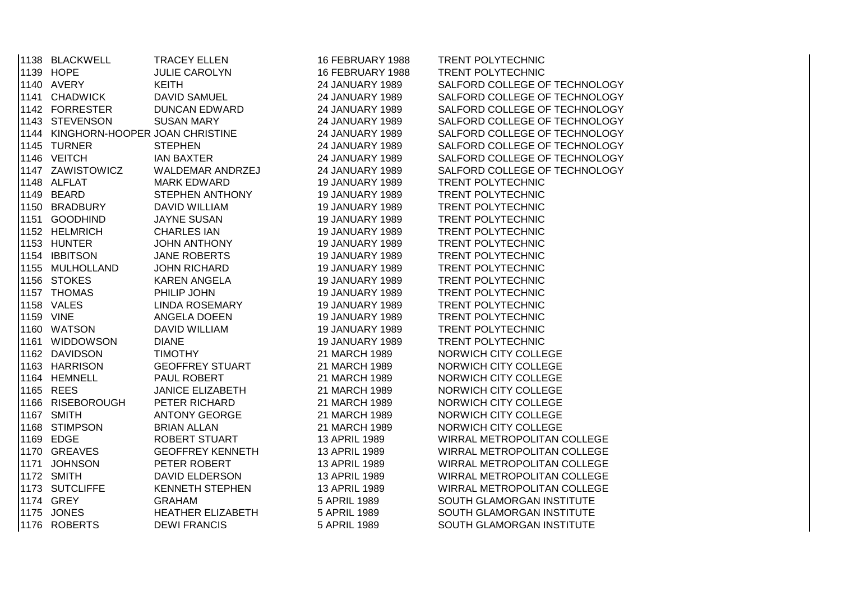| 1138 BLACKWELL                      | <b>TRACEY ELLEN</b>      | 16 FEBRUARY 1988       | TRENT POLYTECHNIC             |
|-------------------------------------|--------------------------|------------------------|-------------------------------|
| 1139 HOPE                           | <b>JULIE CAROLYN</b>     | 16 FEBRUARY 1988       | TRENT POLYTECHNIC             |
| 1140 AVERY                          | <b>KEITH</b>             | 24 JANUARY 1989        | SALFORD COLLEGE OF TECHNOLOGY |
| 1141 CHADWICK                       | <b>DAVID SAMUEL</b>      | <b>24 JANUARY 1989</b> | SALFORD COLLEGE OF TECHNOLOGY |
| 1142 FORRESTER                      | <b>DUNCAN EDWARD</b>     | <b>24 JANUARY 1989</b> | SALFORD COLLEGE OF TECHNOLOGY |
| 1143 STEVENSON                      | <b>SUSAN MARY</b>        | 24 JANUARY 1989        | SALFORD COLLEGE OF TECHNOLOGY |
| 1144 KINGHORN-HOOPER JOAN CHRISTINE |                          | 24 JANUARY 1989        | SALFORD COLLEGE OF TECHNOLOGY |
| 1145 TURNER                         | <b>STEPHEN</b>           | 24 JANUARY 1989        | SALFORD COLLEGE OF TECHNOLOGY |
| 1146 VEITCH                         | <b>IAN BAXTER</b>        | 24 JANUARY 1989        | SALFORD COLLEGE OF TECHNOLOGY |
| 1147 ZAWISTOWICZ                    | WALDEMAR ANDRZEJ         | 24 JANUARY 1989        | SALFORD COLLEGE OF TECHNOLOGY |
| 1148 ALFLAT                         | <b>MARK EDWARD</b>       | <b>19 JANUARY 1989</b> | TRENT POLYTECHNIC             |
| 1149 BEARD                          | STEPHEN ANTHONY          | <b>19 JANUARY 1989</b> | TRENT POLYTECHNIC             |
| 1150 BRADBURY                       | <b>DAVID WILLIAM</b>     | <b>19 JANUARY 1989</b> | <b>TRENT POLYTECHNIC</b>      |
| 1151 GOODHIND                       | <b>JAYNE SUSAN</b>       | <b>19 JANUARY 1989</b> | <b>TRENT POLYTECHNIC</b>      |
| 1152 HELMRICH                       | <b>CHARLES IAN</b>       | <b>19 JANUARY 1989</b> | <b>TRENT POLYTECHNIC</b>      |
| 1153 HUNTER                         | <b>JOHN ANTHONY</b>      | <b>19 JANUARY 1989</b> | <b>TRENT POLYTECHNIC</b>      |
| 1154 IBBITSON                       | <b>JANE ROBERTS</b>      | <b>19 JANUARY 1989</b> | <b>TRENT POLYTECHNIC</b>      |
| 1155 MULHOLLAND                     | JOHN RICHARD             | <b>19 JANUARY 1989</b> | <b>TRENT POLYTECHNIC</b>      |
| 1156 STOKES                         | <b>KAREN ANGELA</b>      | <b>19 JANUARY 1989</b> | <b>TRENT POLYTECHNIC</b>      |
| 1157 THOMAS                         | PHILIP JOHN              | <b>19 JANUARY 1989</b> | <b>TRENT POLYTECHNIC</b>      |
| 1158 VALES                          | LINDA ROSEMARY           | <b>19 JANUARY 1989</b> | <b>TRENT POLYTECHNIC</b>      |
| 1159 VINE                           | ANGELA DOEEN             | <b>19 JANUARY 1989</b> | <b>TRENT POLYTECHNIC</b>      |
| 1160 WATSON                         | DAVID WILLIAM            | <b>19 JANUARY 1989</b> | TRENT POLYTECHNIC             |
| 1161 WIDDOWSON                      | <b>DIANE</b>             | <b>19 JANUARY 1989</b> | TRENT POLYTECHNIC             |
| 1162 DAVIDSON                       | <b>TIMOTHY</b>           | 21 MARCH 1989          | NORWICH CITY COLLEGE          |
| 1163 HARRISON                       | <b>GEOFFREY STUART</b>   | 21 MARCH 1989          | NORWICH CITY COLLEGE          |
| 1164 HEMNELL                        | PAUL ROBERT              | 21 MARCH 1989          | NORWICH CITY COLLEGE          |
| 1165 REES                           | <b>JANICE ELIZABETH</b>  | 21 MARCH 1989          | NORWICH CITY COLLEGE          |
| 1166 RISEBOROUGH                    | PETER RICHARD            | 21 MARCH 1989          | NORWICH CITY COLLEGE          |
| 1167 SMITH                          | <b>ANTONY GEORGE</b>     | 21 MARCH 1989          | NORWICH CITY COLLEGE          |
| 1168 STIMPSON                       | <b>BRIAN ALLAN</b>       | 21 MARCH 1989          | NORWICH CITY COLLEGE          |
| 1169 EDGE                           | ROBERT STUART            | 13 APRIL 1989          | WIRRAL METROPOLITAN COLLEGE   |
| 1170 GREAVES                        | <b>GEOFFREY KENNETH</b>  | 13 APRIL 1989          | WIRRAL METROPOLITAN COLLEGE   |
| 1171 JOHNSON                        | PETER ROBERT             | 13 APRIL 1989          | WIRRAL METROPOLITAN COLLEGE   |
| 1172 SMITH                          | DAVID ELDERSON           | 13 APRIL 1989          | WIRRAL METROPOLITAN COLLEGE   |
| 1173 SUTCLIFFE                      | <b>KENNETH STEPHEN</b>   | 13 APRIL 1989          | WIRRAL METROPOLITAN COLLEGE   |
| 1174 GREY                           | <b>GRAHAM</b>            | 5 APRIL 1989           | SOUTH GLAMORGAN INSTITUTE     |
| 1175 JONES                          | <b>HEATHER ELIZABETH</b> | 5 APRIL 1989           | SOUTH GLAMORGAN INSTITUTE     |
| 1176 ROBERTS                        | <b>DEWI FRANCIS</b>      | 5 APRIL 1989           | SOUTH GLAMORGAN INSTITUTE     |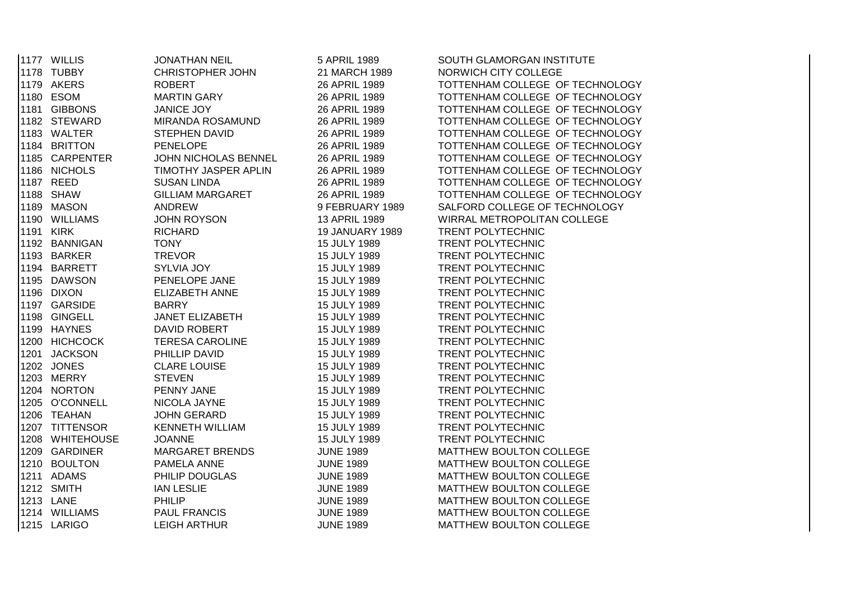|  | 1177 WILLIS     | <b>JONATHAN NEIL</b>    | 5 APRIL 1989           | SOUTH GLAMORGAN INSTITUTE       |
|--|-----------------|-------------------------|------------------------|---------------------------------|
|  | 1178 TUBBY      | <b>CHRISTOPHER JOHN</b> | 21 MARCH 1989          | NORWICH CITY COLLEGE            |
|  | 1179 AKERS      | <b>ROBERT</b>           | 26 APRIL 1989          | TOTTENHAM COLLEGE OF TECHNOLOGY |
|  | 1180 ESOM       | <b>MARTIN GARY</b>      | 26 APRIL 1989          | TOTTENHAM COLLEGE OF TECHNOLOGY |
|  | 1181 GIBBONS    | <b>JANICE JOY</b>       | 26 APRIL 1989          | TOTTENHAM COLLEGE OF TECHNOLOGY |
|  | 1182 STEWARD    | MIRANDA ROSAMUND        | 26 APRIL 1989          | TOTTENHAM COLLEGE OF TECHNOLOGY |
|  | 1183 WALTER     | <b>STEPHEN DAVID</b>    | 26 APRIL 1989          | TOTTENHAM COLLEGE OF TECHNOLOGY |
|  | 1184 BRITTON    | <b>PENELOPE</b>         | 26 APRIL 1989          | TOTTENHAM COLLEGE OF TECHNOLOGY |
|  | 1185 CARPENTER  | JOHN NICHOLAS BENNEL    | 26 APRIL 1989          | TOTTENHAM COLLEGE OF TECHNOLOGY |
|  | 1186 NICHOLS    | TIMOTHY JASPER APLIN    | 26 APRIL 1989          | TOTTENHAM COLLEGE OF TECHNOLOGY |
|  | 1187 REED       | <b>SUSAN LINDA</b>      | 26 APRIL 1989          | TOTTENHAM COLLEGE OF TECHNOLOGY |
|  | 1188 SHAW       | <b>GILLIAM MARGARET</b> | 26 APRIL 1989          | TOTTENHAM COLLEGE OF TECHNOLOGY |
|  | 1189 MASON      | <b>ANDREW</b>           | 9 FEBRUARY 1989        | SALFORD COLLEGE OF TECHNOLOGY   |
|  | 1190 WILLIAMS   | <b>JOHN ROYSON</b>      | 13 APRIL 1989          | WIRRAL METROPOLITAN COLLEGE     |
|  | 1191 KIRK       | <b>RICHARD</b>          | <b>19 JANUARY 1989</b> | TRENT POLYTECHNIC               |
|  | 1192 BANNIGAN   | <b>TONY</b>             | 15 JULY 1989           | TRENT POLYTECHNIC               |
|  | 1193 BARKER     | <b>TREVOR</b>           | 15 JULY 1989           | TRENT POLYTECHNIC               |
|  | 1194 BARRETT    | SYLVIA JOY              | 15 JULY 1989           | TRENT POLYTECHNIC               |
|  | 1195 DAWSON     | PENELOPE JANE           | 15 JULY 1989           | TRENT POLYTECHNIC               |
|  | 1196 DIXON      | <b>ELIZABETH ANNE</b>   | 15 JULY 1989           | TRENT POLYTECHNIC               |
|  | 1197 GARSIDE    | <b>BARRY</b>            | 15 JULY 1989           | TRENT POLYTECHNIC               |
|  | 1198 GINGELL    | <b>JANET ELIZABETH</b>  | 15 JULY 1989           | <b>TRENT POLYTECHNIC</b>        |
|  | 1199 HAYNES     | DAVID ROBERT            | 15 JULY 1989           | TRENT POLYTECHNIC               |
|  | 1200 HICHCOCK   | <b>TERESA CAROLINE</b>  | 15 JULY 1989           | <b>TRENT POLYTECHNIC</b>        |
|  | 1201 JACKSON    | PHILLIP DAVID           | 15 JULY 1989           | <b>TRENT POLYTECHNIC</b>        |
|  | 1202 JONES      | <b>CLARE LOUISE</b>     | 15 JULY 1989           | <b>TRENT POLYTECHNIC</b>        |
|  | 1203 MERRY      | <b>STEVEN</b>           | 15 JULY 1989           | TRENT POLYTECHNIC               |
|  | 1204 NORTON     | PENNY JANE              | 15 JULY 1989           | TRENT POLYTECHNIC               |
|  | 1205 O'CONNELL  | NICOLA JAYNE            | 15 JULY 1989           | TRENT POLYTECHNIC               |
|  | 1206 TEAHAN     | <b>JOHN GERARD</b>      | 15 JULY 1989           | TRENT POLYTECHNIC               |
|  | 1207 TITTENSOR  | <b>KENNETH WILLIAM</b>  | 15 JULY 1989           | TRENT POLYTECHNIC               |
|  | 1208 WHITEHOUSE | <b>JOANNE</b>           | 15 JULY 1989           | TRENT POLYTECHNIC               |
|  | 1209 GARDINER   | <b>MARGARET BRENDS</b>  | <b>JUNE 1989</b>       | MATTHEW BOULTON COLLEGE         |
|  | 1210 BOULTON    | PAMELA ANNE             | <b>JUNE 1989</b>       | MATTHEW BOULTON COLLEGE         |
|  | 1211 ADAMS      | PHILIP DOUGLAS          | <b>JUNE 1989</b>       | MATTHEW BOULTON COLLEGE         |
|  | 1212 SMITH      | <b>IAN LESLIE</b>       | <b>JUNE 1989</b>       | MATTHEW BOULTON COLLEGE         |
|  | 1213 LANE       | PHILIP                  | <b>JUNE 1989</b>       | MATTHEW BOULTON COLLEGE         |
|  | 1214 WILLIAMS   | <b>PAUL FRANCIS</b>     | <b>JUNE 1989</b>       | MATTHEW BOULTON COLLEGE         |
|  | 1215 LARIGO     | <b>LEIGH ARTHUR</b>     | <b>JUNE 1989</b>       | MATTHEW BOULTON COLLEGE         |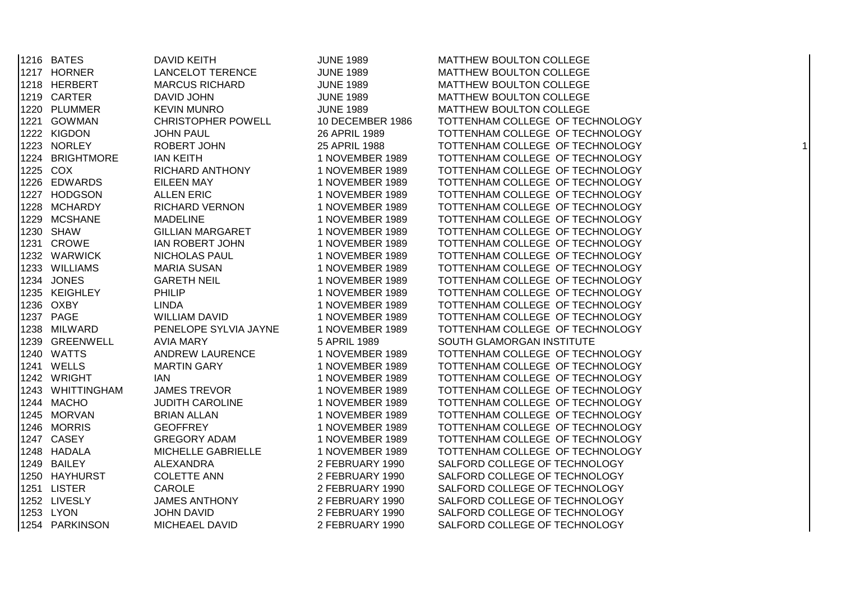| 1216 BATES       | <b>DAVID KEITH</b>        | <b>JUNE 1989</b> | MATTHEW BOULTON COLLEGE         |   |
|------------------|---------------------------|------------------|---------------------------------|---|
| 1217 HORNER      | <b>LANCELOT TERENCE</b>   | <b>JUNE 1989</b> | MATTHEW BOULTON COLLEGE         |   |
| 1218 HERBERT     | <b>MARCUS RICHARD</b>     | <b>JUNE 1989</b> | MATTHEW BOULTON COLLEGE         |   |
| 1219 CARTER      | DAVID JOHN                | <b>JUNE 1989</b> | MATTHEW BOULTON COLLEGE         |   |
| 1220 PLUMMER     | <b>KEVIN MUNRO</b>        | <b>JUNE 1989</b> | MATTHEW BOULTON COLLEGE         |   |
| 1221 GOWMAN      | <b>CHRISTOPHER POWELL</b> | 10 DECEMBER 1986 | TOTTENHAM COLLEGE OF TECHNOLOGY |   |
| 1222 KIGDON      | <b>JOHN PAUL</b>          | 26 APRIL 1989    | TOTTENHAM COLLEGE OF TECHNOLOGY |   |
| 1223 NORLEY      | ROBERT JOHN               | 25 APRIL 1988    | TOTTENHAM COLLEGE OF TECHNOLOGY | 1 |
| 1224 BRIGHTMORE  | <b>IAN KEITH</b>          | 1 NOVEMBER 1989  | TOTTENHAM COLLEGE OF TECHNOLOGY |   |
| 1225 COX         | <b>RICHARD ANTHONY</b>    | 1 NOVEMBER 1989  | TOTTENHAM COLLEGE OF TECHNOLOGY |   |
| 1226 EDWARDS     | <b>EILEEN MAY</b>         | 1 NOVEMBER 1989  | TOTTENHAM COLLEGE OF TECHNOLOGY |   |
| 1227 HODGSON     | <b>ALLEN ERIC</b>         | 1 NOVEMBER 1989  | TOTTENHAM COLLEGE OF TECHNOLOGY |   |
| 1228 MCHARDY     | <b>RICHARD VERNON</b>     | 1 NOVEMBER 1989  | TOTTENHAM COLLEGE OF TECHNOLOGY |   |
| 1229 MCSHANE     | <b>MADELINE</b>           | 1 NOVEMBER 1989  | TOTTENHAM COLLEGE OF TECHNOLOGY |   |
| 1230 SHAW        | <b>GILLIAN MARGARET</b>   | 1 NOVEMBER 1989  | TOTTENHAM COLLEGE OF TECHNOLOGY |   |
| 1231 CROWE       | <b>IAN ROBERT JOHN</b>    | 1 NOVEMBER 1989  | TOTTENHAM COLLEGE OF TECHNOLOGY |   |
| 1232 WARWICK     | NICHOLAS PAUL             | 1 NOVEMBER 1989  | TOTTENHAM COLLEGE OF TECHNOLOGY |   |
| 1233 WILLIAMS    | <b>MARIA SUSAN</b>        | 1 NOVEMBER 1989  | TOTTENHAM COLLEGE OF TECHNOLOGY |   |
| 1234 JONES       | <b>GARETH NEIL</b>        | 1 NOVEMBER 1989  | TOTTENHAM COLLEGE OF TECHNOLOGY |   |
| 1235 KEIGHLEY    | <b>PHILIP</b>             | 1 NOVEMBER 1989  | TOTTENHAM COLLEGE OF TECHNOLOGY |   |
| 1236 OXBY        | <b>LINDA</b>              | 1 NOVEMBER 1989  | TOTTENHAM COLLEGE OF TECHNOLOGY |   |
| 1237 PAGE        | <b>WILLIAM DAVID</b>      | 1 NOVEMBER 1989  | TOTTENHAM COLLEGE OF TECHNOLOGY |   |
| 1238 MILWARD     | PENELOPE SYLVIA JAYNE     | 1 NOVEMBER 1989  | TOTTENHAM COLLEGE OF TECHNOLOGY |   |
| 1239 GREENWELL   | <b>AVIA MARY</b>          | 5 APRIL 1989     | SOUTH GLAMORGAN INSTITUTE       |   |
| 1240 WATTS       | ANDREW LAURENCE           | 1 NOVEMBER 1989  | TOTTENHAM COLLEGE OF TECHNOLOGY |   |
| 1241 WELLS       | <b>MARTIN GARY</b>        | 1 NOVEMBER 1989  | TOTTENHAM COLLEGE OF TECHNOLOGY |   |
| 1242 WRIGHT      | <b>IAN</b>                | 1 NOVEMBER 1989  | TOTTENHAM COLLEGE OF TECHNOLOGY |   |
| 1243 WHITTINGHAM | <b>JAMES TREVOR</b>       | 1 NOVEMBER 1989  | TOTTENHAM COLLEGE OF TECHNOLOGY |   |
| 1244 MACHO       | <b>JUDITH CAROLINE</b>    | 1 NOVEMBER 1989  | TOTTENHAM COLLEGE OF TECHNOLOGY |   |
| 1245 MORVAN      | <b>BRIAN ALLAN</b>        | 1 NOVEMBER 1989  | TOTTENHAM COLLEGE OF TECHNOLOGY |   |
| 1246 MORRIS      | <b>GEOFFREY</b>           | 1 NOVEMBER 1989  | TOTTENHAM COLLEGE OF TECHNOLOGY |   |
| 1247 CASEY       | <b>GREGORY ADAM</b>       | 1 NOVEMBER 1989  | TOTTENHAM COLLEGE OF TECHNOLOGY |   |
| 1248 HADALA      | MICHELLE GABRIELLE        | 1 NOVEMBER 1989  | TOTTENHAM COLLEGE OF TECHNOLOGY |   |
| 1249 BAILEY      | ALEXANDRA                 | 2 FEBRUARY 1990  | SALFORD COLLEGE OF TECHNOLOGY   |   |
| 1250 HAYHURST    | <b>COLETTE ANN</b>        | 2 FEBRUARY 1990  | SALFORD COLLEGE OF TECHNOLOGY   |   |
| 1251 LISTER      | CAROLE                    | 2 FEBRUARY 1990  | SALFORD COLLEGE OF TECHNOLOGY   |   |
| 1252 LIVESLY     | <b>JAMES ANTHONY</b>      | 2 FEBRUARY 1990  | SALFORD COLLEGE OF TECHNOLOGY   |   |
| 1253 LYON        | <b>JOHN DAVID</b>         | 2 FEBRUARY 1990  | SALFORD COLLEGE OF TECHNOLOGY   |   |
| 1254 PARKINSON   | MICHEAEL DAVID            | 2 FEBRUARY 1990  | SALFORD COLLEGE OF TECHNOLOGY   |   |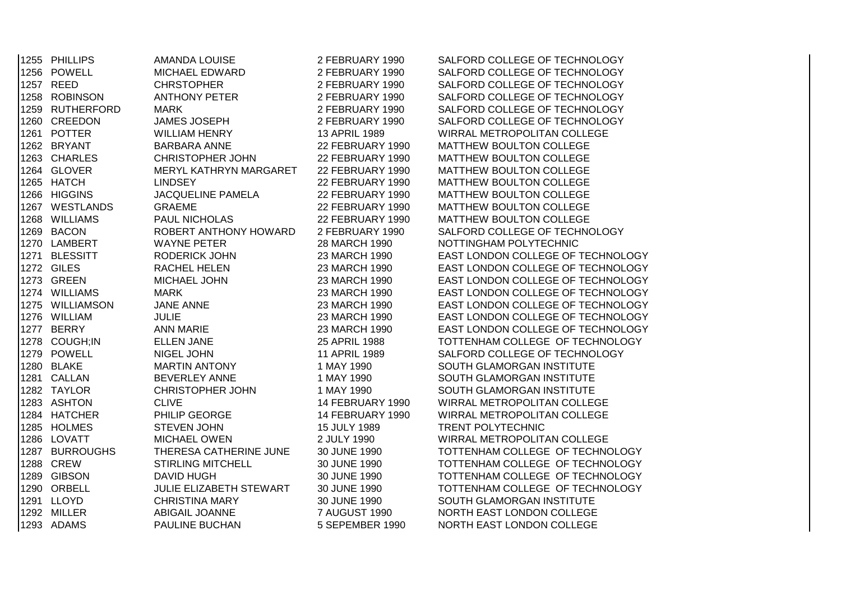| 1255 PHILLIPS     | AMANDA LOUISE                  | 2 FEBRUARY 1990      | SALFORD COLLEGE OF TECHNOLOGY     |
|-------------------|--------------------------------|----------------------|-----------------------------------|
| 1256 POWELL       | <b>MICHAEL EDWARD</b>          | 2 FEBRUARY 1990      | SALFORD COLLEGE OF TECHNOLOGY     |
| 1257 REED         | <b>CHRSTOPHER</b>              | 2 FEBRUARY 1990      | SALFORD COLLEGE OF TECHNOLOGY     |
| 1258 ROBINSON     | <b>ANTHONY PETER</b>           | 2 FEBRUARY 1990      | SALFORD COLLEGE OF TECHNOLOGY     |
| 1259 RUTHERFORD   | <b>MARK</b>                    | 2 FEBRUARY 1990      | SALFORD COLLEGE OF TECHNOLOGY     |
| 1260 CREEDON      | <b>JAMES JOSEPH</b>            | 2 FEBRUARY 1990      | SALFORD COLLEGE OF TECHNOLOGY     |
| 1261 POTTER       | <b>WILLIAM HENRY</b>           | 13 APRIL 1989        | WIRRAL METROPOLITAN COLLEGE       |
| 1262 BRYANT       | <b>BARBARA ANNE</b>            | 22 FEBRUARY 1990     | MATTHEW BOULTON COLLEGE           |
| 1263 CHARLES      | <b>CHRISTOPHER JOHN</b>        | 22 FEBRUARY 1990     | MATTHEW BOULTON COLLEGE           |
| 1264 GLOVER       | MERYL KATHRYN MARGARET         | 22 FEBRUARY 1990     | MATTHEW BOULTON COLLEGE           |
| 1265 HATCH        | <b>LINDSEY</b>                 | 22 FEBRUARY 1990     | MATTHEW BOULTON COLLEGE           |
| 1266 HIGGINS      | <b>JACQUELINE PAMELA</b>       | 22 FEBRUARY 1990     | MATTHEW BOULTON COLLEGE           |
| 1267 WESTLANDS    | <b>GRAEME</b>                  | 22 FEBRUARY 1990     | MATTHEW BOULTON COLLEGE           |
| 1268 WILLIAMS     | PAUL NICHOLAS                  | 22 FEBRUARY 1990     | MATTHEW BOULTON COLLEGE           |
| 1269 BACON        | ROBERT ANTHONY HOWARD          | 2 FEBRUARY 1990      | SALFORD COLLEGE OF TECHNOLOGY     |
| 1270 LAMBERT      | <b>WAYNE PETER</b>             | 28 MARCH 1990        | NOTTINGHAM POLYTECHNIC            |
| 1271 BLESSITT     | <b>RODERICK JOHN</b>           | 23 MARCH 1990        | EAST LONDON COLLEGE OF TECHNOLOGY |
| <b>1272 GILES</b> | RACHEL HELEN                   | 23 MARCH 1990        | EAST LONDON COLLEGE OF TECHNOLOGY |
| 1273 GREEN        | MICHAEL JOHN                   | 23 MARCH 1990        | EAST LONDON COLLEGE OF TECHNOLOGY |
| 1274 WILLIAMS     | <b>MARK</b>                    | 23 MARCH 1990        | EAST LONDON COLLEGE OF TECHNOLOGY |
| 1275 WILLIAMSON   | <b>JANE ANNE</b>               | 23 MARCH 1990        | EAST LONDON COLLEGE OF TECHNOLOGY |
| 1276 WILLIAM      | <b>JULIE</b>                   | 23 MARCH 1990        | EAST LONDON COLLEGE OF TECHNOLOGY |
| 1277 BERRY        | <b>ANN MARIE</b>               | 23 MARCH 1990        | EAST LONDON COLLEGE OF TECHNOLOGY |
| 1278 COUGH;IN     | <b>ELLEN JANE</b>              | 25 APRIL 1988        | TOTTENHAM COLLEGE OF TECHNOLOGY   |
| 1279 POWELL       | NIGEL JOHN                     | 11 APRIL 1989        | SALFORD COLLEGE OF TECHNOLOGY     |
| 1280 BLAKE        | <b>MARTIN ANTONY</b>           | 1 MAY 1990           | SOUTH GLAMORGAN INSTITUTE         |
| 1281 CALLAN       | <b>BEVERLEY ANNE</b>           | 1 MAY 1990           | SOUTH GLAMORGAN INSTITUTE         |
| 1282 TAYLOR       | <b>CHRISTOPHER JOHN</b>        | 1 MAY 1990           | SOUTH GLAMORGAN INSTITUTE         |
| 1283 ASHTON       | <b>CLIVE</b>                   | 14 FEBRUARY 1990     | WIRRAL METROPOLITAN COLLEGE       |
| 1284 HATCHER      | PHILIP GEORGE                  | 14 FEBRUARY 1990     | WIRRAL METROPOLITAN COLLEGE       |
| 1285 HOLMES       | <b>STEVEN JOHN</b>             | 15 JULY 1989         | TRENT POLYTECHNIC                 |
| 1286 LOVATT       | <b>MICHAEL OWEN</b>            | 2 JULY 1990          | WIRRAL METROPOLITAN COLLEGE       |
| 1287 BURROUGHS    | THERESA CATHERINE JUNE         | 30 JUNE 1990         | TOTTENHAM COLLEGE OF TECHNOLOGY   |
| 1288 CREW         | STIRLING MITCHELL              | 30 JUNE 1990         | TOTTENHAM COLLEGE OF TECHNOLOGY   |
| 1289 GIBSON       | <b>DAVID HUGH</b>              | 30 JUNE 1990         | TOTTENHAM COLLEGE OF TECHNOLOGY   |
| 1290 ORBELL       | <b>JULIE ELIZABETH STEWART</b> | 30 JUNE 1990         | TOTTENHAM COLLEGE OF TECHNOLOGY   |
| 1291 LLOYD        | <b>CHRISTINA MARY</b>          | 30 JUNE 1990         | SOUTH GLAMORGAN INSTITUTE         |
| 1292 MILLER       | <b>ABIGAIL JOANNE</b>          | <b>7 AUGUST 1990</b> | NORTH EAST LONDON COLLEGE         |
| 1293 ADAMS        | PAULINE BUCHAN                 | 5 SEPEMBER 1990      | NORTH EAST LONDON COLLEGE         |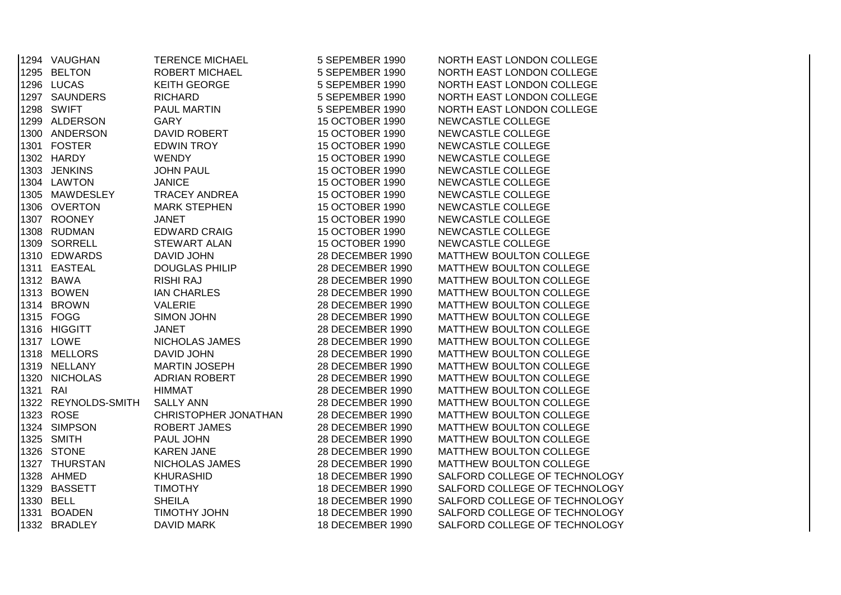|          | 1294 VAUGHAN        | <b>TERENCE MICHAEL</b> | 5 SEPEMBER 1990  | NORTH EAST LONDON COLLEGE     |
|----------|---------------------|------------------------|------------------|-------------------------------|
|          | 1295 BELTON         | ROBERT MICHAEL         | 5 SEPEMBER 1990  | NORTH EAST LONDON COLLEGE     |
|          | 1296 LUCAS          | <b>KEITH GEORGE</b>    | 5 SEPEMBER 1990  | NORTH EAST LONDON COLLEGE     |
|          | 1297 SAUNDERS       | <b>RICHARD</b>         | 5 SEPEMBER 1990  | NORTH EAST LONDON COLLEGE     |
|          | 1298 SWIFT          | PAUL MARTIN            | 5 SEPEMBER 1990  | NORTH EAST LONDON COLLEGE     |
|          | 1299 ALDERSON       | <b>GARY</b>            | 15 OCTOBER 1990  | NEWCASTLE COLLEGE             |
|          | 1300 ANDERSON       | DAVID ROBERT           | 15 OCTOBER 1990  | NEWCASTLE COLLEGE             |
|          | 1301 FOSTER         | <b>EDWIN TROY</b>      | 15 OCTOBER 1990  | NEWCASTLE COLLEGE             |
|          | 1302 HARDY          | <b>WENDY</b>           | 15 OCTOBER 1990  | NEWCASTLE COLLEGE             |
|          | 1303 JENKINS        | <b>JOHN PAUL</b>       | 15 OCTOBER 1990  | NEWCASTLE COLLEGE             |
|          | 1304 LAWTON         | <b>JANICE</b>          | 15 OCTOBER 1990  | NEWCASTLE COLLEGE             |
|          | 1305 MAWDESLEY      | <b>TRACEY ANDREA</b>   | 15 OCTOBER 1990  | NEWCASTLE COLLEGE             |
|          | 1306 OVERTON        | <b>MARK STEPHEN</b>    | 15 OCTOBER 1990  | NEWCASTLE COLLEGE             |
|          | 1307 ROONEY         | <b>JANET</b>           | 15 OCTOBER 1990  | NEWCASTLE COLLEGE             |
|          | 1308 RUDMAN         | <b>EDWARD CRAIG</b>    | 15 OCTOBER 1990  | NEWCASTLE COLLEGE             |
|          | 1309 SORRELL        | <b>STEWART ALAN</b>    | 15 OCTOBER 1990  | NEWCASTLE COLLEGE             |
|          | 1310 EDWARDS        | <b>DAVID JOHN</b>      | 28 DECEMBER 1990 | MATTHEW BOULTON COLLEGE       |
|          | 1311 EASTEAL        | <b>DOUGLAS PHILIP</b>  | 28 DECEMBER 1990 | MATTHEW BOULTON COLLEGE       |
|          | 1312 BAWA           | <b>RISHI RAJ</b>       | 28 DECEMBER 1990 | MATTHEW BOULTON COLLEGE       |
|          | 1313 BOWEN          | <b>IAN CHARLES</b>     | 28 DECEMBER 1990 | MATTHEW BOULTON COLLEGE       |
|          | 1314 BROWN          | VALERIE                | 28 DECEMBER 1990 | MATTHEW BOULTON COLLEGE       |
|          | 1315 FOGG           | SIMON JOHN             | 28 DECEMBER 1990 | MATTHEW BOULTON COLLEGE       |
|          | 1316 HIGGITT        | <b>JANET</b>           | 28 DECEMBER 1990 | MATTHEW BOULTON COLLEGE       |
|          | 1317 LOWE           | NICHOLAS JAMES         | 28 DECEMBER 1990 | MATTHEW BOULTON COLLEGE       |
|          | 1318 MELLORS        | <b>DAVID JOHN</b>      | 28 DECEMBER 1990 | MATTHEW BOULTON COLLEGE       |
|          | 1319 NELLANY        | <b>MARTIN JOSEPH</b>   | 28 DECEMBER 1990 | MATTHEW BOULTON COLLEGE       |
|          | 1320 NICHOLAS       | ADRIAN ROBERT          | 28 DECEMBER 1990 | MATTHEW BOULTON COLLEGE       |
| 1321 RAI |                     | <b>HIMMAT</b>          | 28 DECEMBER 1990 | MATTHEW BOULTON COLLEGE       |
|          | 1322 REYNOLDS-SMITH | <b>SALLY ANN</b>       | 28 DECEMBER 1990 | MATTHEW BOULTON COLLEGE       |
|          | 1323 ROSE           | CHRISTOPHER JONATHAN   | 28 DECEMBER 1990 | MATTHEW BOULTON COLLEGE       |
|          | 1324 SIMPSON        | <b>ROBERT JAMES</b>    | 28 DECEMBER 1990 | MATTHEW BOULTON COLLEGE       |
|          | 1325 SMITH          | PAUL JOHN              | 28 DECEMBER 1990 | MATTHEW BOULTON COLLEGE       |
|          | 1326 STONE          | <b>KAREN JANE</b>      | 28 DECEMBER 1990 | MATTHEW BOULTON COLLEGE       |
|          | 1327 THURSTAN       | NICHOLAS JAMES         | 28 DECEMBER 1990 | MATTHEW BOULTON COLLEGE       |
|          | 1328 AHMED          | <b>KHURASHID</b>       | 18 DECEMBER 1990 | SALFORD COLLEGE OF TECHNOLOGY |
|          | 1329 BASSETT        | <b>TIMOTHY</b>         | 18 DECEMBER 1990 | SALFORD COLLEGE OF TECHNOLOGY |
|          | 1330 BELL           | <b>SHEILA</b>          | 18 DECEMBER 1990 | SALFORD COLLEGE OF TECHNOLOGY |
|          | 1331 BOADEN         | TIMOTHY JOHN           | 18 DECEMBER 1990 | SALFORD COLLEGE OF TECHNOLOGY |
|          | 1332 BRADLEY        | <b>DAVID MARK</b>      | 18 DECEMBER 1990 | SALFORD COLLEGE OF TECHNOLOGY |
|          |                     |                        |                  |                               |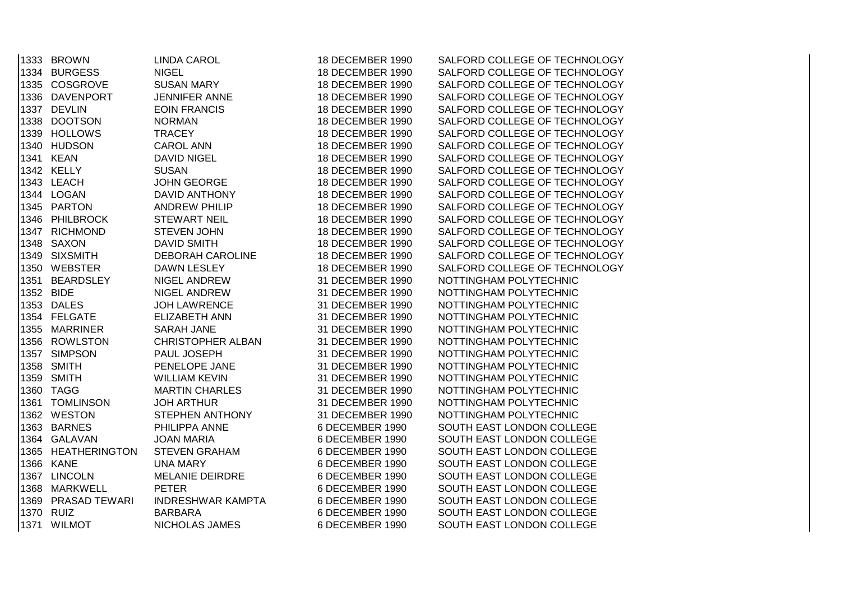| 1333 BROWN         | <b>LINDA CAROL</b>       | 18 DECEMBER 1990 | SALFORD COLLEGE OF TECHNOLOGY |
|--------------------|--------------------------|------------------|-------------------------------|
| 1334 BURGESS       | <b>NIGEL</b>             | 18 DECEMBER 1990 | SALFORD COLLEGE OF TECHNOLOGY |
| 1335 COSGROVE      | <b>SUSAN MARY</b>        | 18 DECEMBER 1990 | SALFORD COLLEGE OF TECHNOLOGY |
| 1336 DAVENPORT     | JENNIFER ANNE            | 18 DECEMBER 1990 | SALFORD COLLEGE OF TECHNOLOGY |
| 1337 DEVLIN        | <b>EOIN FRANCIS</b>      | 18 DECEMBER 1990 | SALFORD COLLEGE OF TECHNOLOGY |
| 1338 DOOTSON       | <b>NORMAN</b>            | 18 DECEMBER 1990 | SALFORD COLLEGE OF TECHNOLOGY |
| 1339 HOLLOWS       | <b>TRACEY</b>            | 18 DECEMBER 1990 | SALFORD COLLEGE OF TECHNOLOGY |
| 1340 HUDSON        | <b>CAROL ANN</b>         | 18 DECEMBER 1990 | SALFORD COLLEGE OF TECHNOLOGY |
| 1341 KEAN          | <b>DAVID NIGEL</b>       | 18 DECEMBER 1990 | SALFORD COLLEGE OF TECHNOLOGY |
| 1342 KELLY         | <b>SUSAN</b>             | 18 DECEMBER 1990 | SALFORD COLLEGE OF TECHNOLOGY |
| 1343 LEACH         | <b>JOHN GEORGE</b>       | 18 DECEMBER 1990 | SALFORD COLLEGE OF TECHNOLOGY |
| 1344 LOGAN         | DAVID ANTHONY            | 18 DECEMBER 1990 | SALFORD COLLEGE OF TECHNOLOGY |
| 1345 PARTON        | <b>ANDREW PHILIP</b>     | 18 DECEMBER 1990 | SALFORD COLLEGE OF TECHNOLOGY |
| 1346 PHILBROCK     | <b>STEWART NEIL</b>      | 18 DECEMBER 1990 | SALFORD COLLEGE OF TECHNOLOGY |
| 1347 RICHMOND      | STEVEN JOHN              | 18 DECEMBER 1990 | SALFORD COLLEGE OF TECHNOLOGY |
| 1348 SAXON         | <b>DAVID SMITH</b>       | 18 DECEMBER 1990 | SALFORD COLLEGE OF TECHNOLOGY |
| 1349 SIXSMITH      | <b>DEBORAH CAROLINE</b>  | 18 DECEMBER 1990 | SALFORD COLLEGE OF TECHNOLOGY |
| 1350 WEBSTER       | DAWN LESLEY              | 18 DECEMBER 1990 | SALFORD COLLEGE OF TECHNOLOGY |
| 1351 BEARDSLEY     | NIGEL ANDREW             | 31 DECEMBER 1990 | NOTTINGHAM POLYTECHNIC        |
| 1352 BIDE          | NIGEL ANDREW             | 31 DECEMBER 1990 | NOTTINGHAM POLYTECHNIC        |
| 1353 DALES         | <b>JOH LAWRENCE</b>      | 31 DECEMBER 1990 | NOTTINGHAM POLYTECHNIC        |
| 1354 FELGATE       | <b>ELIZABETH ANN</b>     | 31 DECEMBER 1990 | NOTTINGHAM POLYTECHNIC        |
| 1355 MARRINER      | <b>SARAH JANE</b>        | 31 DECEMBER 1990 | NOTTINGHAM POLYTECHNIC        |
| 1356 ROWLSTON      | <b>CHRISTOPHER ALBAN</b> | 31 DECEMBER 1990 | NOTTINGHAM POLYTECHNIC        |
| 1357 SIMPSON       | PAUL JOSEPH              | 31 DECEMBER 1990 | NOTTINGHAM POLYTECHNIC        |
| 1358 SMITH         | PENELOPE JANE            | 31 DECEMBER 1990 | NOTTINGHAM POLYTECHNIC        |
| 1359 SMITH         | <b>WILLIAM KEVIN</b>     | 31 DECEMBER 1990 | NOTTINGHAM POLYTECHNIC        |
| 1360 TAGG          | <b>MARTIN CHARLES</b>    | 31 DECEMBER 1990 | NOTTINGHAM POLYTECHNIC        |
| 1361 TOMLINSON     | <b>JOH ARTHUR</b>        | 31 DECEMBER 1990 | NOTTINGHAM POLYTECHNIC        |
| 1362 WESTON        | STEPHEN ANTHONY          | 31 DECEMBER 1990 | NOTTINGHAM POLYTECHNIC        |
| 1363 BARNES        | PHILIPPA ANNE            | 6 DECEMBER 1990  | SOUTH EAST LONDON COLLEGE     |
| 1364 GALAVAN       | <b>JOAN MARIA</b>        | 6 DECEMBER 1990  | SOUTH EAST LONDON COLLEGE     |
| 1365 HEATHERINGTON | <b>STEVEN GRAHAM</b>     | 6 DECEMBER 1990  | SOUTH EAST LONDON COLLEGE     |
| 1366 KANE          | <b>UNA MARY</b>          | 6 DECEMBER 1990  | SOUTH EAST LONDON COLLEGE     |
| 1367 LINCOLN       | <b>MELANIE DEIRDRE</b>   | 6 DECEMBER 1990  | SOUTH EAST LONDON COLLEGE     |
| 1368 MARKWELL      | <b>PETER</b>             | 6 DECEMBER 1990  | SOUTH EAST LONDON COLLEGE     |
| 1369 PRASAD TEWARI | <b>INDRESHWAR KAMPTA</b> | 6 DECEMBER 1990  | SOUTH EAST LONDON COLLEGE     |
| 1370 RUIZ          | <b>BARBARA</b>           | 6 DECEMBER 1990  | SOUTH EAST LONDON COLLEGE     |
| 1371 WILMOT        | NICHOLAS JAMES           | 6 DECEMBER 1990  | SOUTH EAST LONDON COLLEGE     |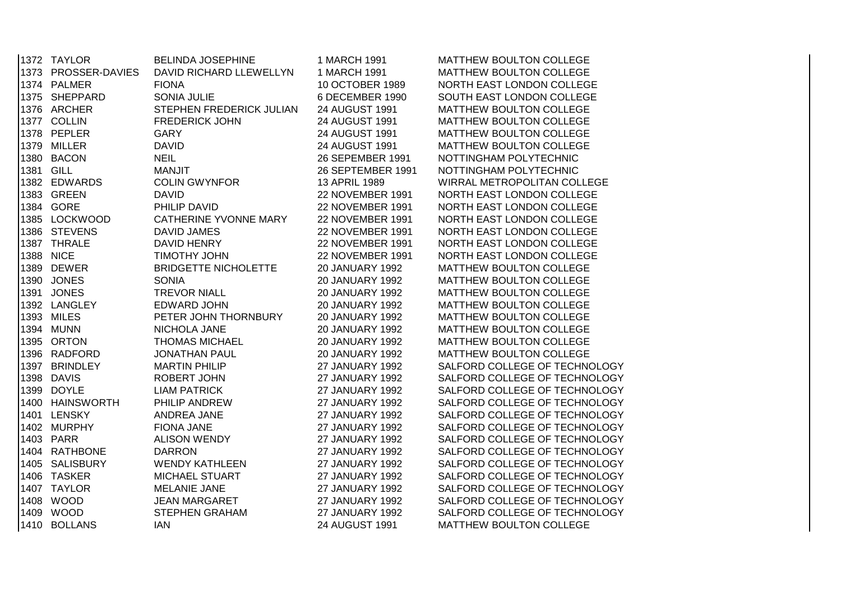|      | 1372 TAYLOR         | <b>BELINDA JOSEPHINE</b>     | 1 MARCH 1991            | MATTHEW BOULTON COLLEGE       |
|------|---------------------|------------------------------|-------------------------|-------------------------------|
|      | 1373 PROSSER-DAVIES | DAVID RICHARD LLEWELLYN      | 1 MARCH 1991            | MATTHEW BOULTON COLLEGE       |
|      | 1374 PALMER         | <b>FIONA</b>                 | 10 OCTOBER 1989         | NORTH EAST LONDON COLLEGE     |
|      | 1375 SHEPPARD       | SONIA JULIE                  | 6 DECEMBER 1990         | SOUTH EAST LONDON COLLEGE     |
|      | 1376 ARCHER         | STEPHEN FREDERICK JULIAN     | 24 AUGUST 1991          | MATTHEW BOULTON COLLEGE       |
|      | 1377 COLLIN         | <b>FREDERICK JOHN</b>        | 24 AUGUST 1991          | MATTHEW BOULTON COLLEGE       |
|      | 1378 PEPLER         | <b>GARY</b>                  | 24 AUGUST 1991          | MATTHEW BOULTON COLLEGE       |
|      | 1379 MILLER         | <b>DAVID</b>                 | 24 AUGUST 1991          | MATTHEW BOULTON COLLEGE       |
|      | 1380 BACON          | <b>NEIL</b>                  | 26 SEPEMBER 1991        | NOTTINGHAM POLYTECHNIC        |
|      | 1381 GILL           | <b>MANJIT</b>                | 26 SEPTEMBER 1991       | NOTTINGHAM POLYTECHNIC        |
|      | 1382 EDWARDS        | <b>COLIN GWYNFOR</b>         | 13 APRIL 1989           | WIRRAL METROPOLITAN COLLEGE   |
|      | 1383 GREEN          | <b>DAVID</b>                 | 22 NOVEMBER 1991        | NORTH EAST LONDON COLLEGE     |
|      | 1384 GORE           | PHILIP DAVID                 | 22 NOVEMBER 1991        | NORTH EAST LONDON COLLEGE     |
|      | 1385 LOCKWOOD       | <b>CATHERINE YVONNE MARY</b> | <b>22 NOVEMBER 1991</b> | NORTH EAST LONDON COLLEGE     |
|      | 1386 STEVENS        | <b>DAVID JAMES</b>           | <b>22 NOVEMBER 1991</b> | NORTH EAST LONDON COLLEGE     |
|      | 1387 THRALE         | DAVID HENRY                  | 22 NOVEMBER 1991        | NORTH EAST LONDON COLLEGE     |
|      | 1388 NICE           | <b>TIMOTHY JOHN</b>          | 22 NOVEMBER 1991        | NORTH EAST LONDON COLLEGE     |
|      | 1389 DEWER          | <b>BRIDGETTE NICHOLETTE</b>  | <b>20 JANUARY 1992</b>  | MATTHEW BOULTON COLLEGE       |
|      | 1390 JONES          | <b>SONIA</b>                 | <b>20 JANUARY 1992</b>  | MATTHEW BOULTON COLLEGE       |
|      | 1391 JONES          | <b>TREVOR NIALL</b>          | <b>20 JANUARY 1992</b>  | MATTHEW BOULTON COLLEGE       |
|      | 1392 LANGLEY        | EDWARD JOHN                  | 20 JANUARY 1992         | MATTHEW BOULTON COLLEGE       |
|      | 1393 MILES          | PETER JOHN THORNBURY         | 20 JANUARY 1992         | MATTHEW BOULTON COLLEGE       |
|      | 1394 MUNN           | NICHOLA JANE                 | <b>20 JANUARY 1992</b>  | MATTHEW BOULTON COLLEGE       |
|      | 1395 ORTON          | <b>THOMAS MICHAEL</b>        | 20 JANUARY 1992         | MATTHEW BOULTON COLLEGE       |
|      | 1396 RADFORD        | <b>JONATHAN PAUL</b>         | <b>20 JANUARY 1992</b>  | MATTHEW BOULTON COLLEGE       |
|      | 1397 BRINDLEY       | <b>MARTIN PHILIP</b>         | 27 JANUARY 1992         | SALFORD COLLEGE OF TECHNOLOGY |
|      | 1398 DAVIS          | ROBERT JOHN                  | 27 JANUARY 1992         | SALFORD COLLEGE OF TECHNOLOGY |
|      | 1399 DOYLE          | <b>LIAM PATRICK</b>          | 27 JANUARY 1992         | SALFORD COLLEGE OF TECHNOLOGY |
|      | 1400 HAINSWORTH     | PHILIP ANDREW                | 27 JANUARY 1992         | SALFORD COLLEGE OF TECHNOLOGY |
|      | 1401 LENSKY         | ANDREA JANE                  | <b>27 JANUARY 1992</b>  | SALFORD COLLEGE OF TECHNOLOGY |
|      | 1402 MURPHY         | <b>FIONA JANE</b>            | <b>27 JANUARY 1992</b>  | SALFORD COLLEGE OF TECHNOLOGY |
|      | 1403 PARR           | <b>ALISON WENDY</b>          | <b>27 JANUARY 1992</b>  | SALFORD COLLEGE OF TECHNOLOGY |
| 1404 | <b>RATHBONE</b>     | <b>DARRON</b>                | <b>27 JANUARY 1992</b>  | SALFORD COLLEGE OF TECHNOLOGY |
|      | 1405 SALISBURY      | <b>WENDY KATHLEEN</b>        | 27 JANUARY 1992         | SALFORD COLLEGE OF TECHNOLOGY |
| 1406 | <b>TASKER</b>       | MICHAEL STUART               | 27 JANUARY 1992         | SALFORD COLLEGE OF TECHNOLOGY |
|      | 1407 TAYLOR         | <b>MELANIE JANE</b>          | 27 JANUARY 1992         | SALFORD COLLEGE OF TECHNOLOGY |
|      | 1408 WOOD           | <b>JEAN MARGARET</b>         | <b>27 JANUARY 1992</b>  | SALFORD COLLEGE OF TECHNOLOGY |
|      | 1409 WOOD           | <b>STEPHEN GRAHAM</b>        | <b>27 JANUARY 1992</b>  | SALFORD COLLEGE OF TECHNOLOGY |
|      | 1410 BOLLANS        | <b>IAN</b>                   | 24 AUGUST 1991          | MATTHEW BOULTON COLLEGE       |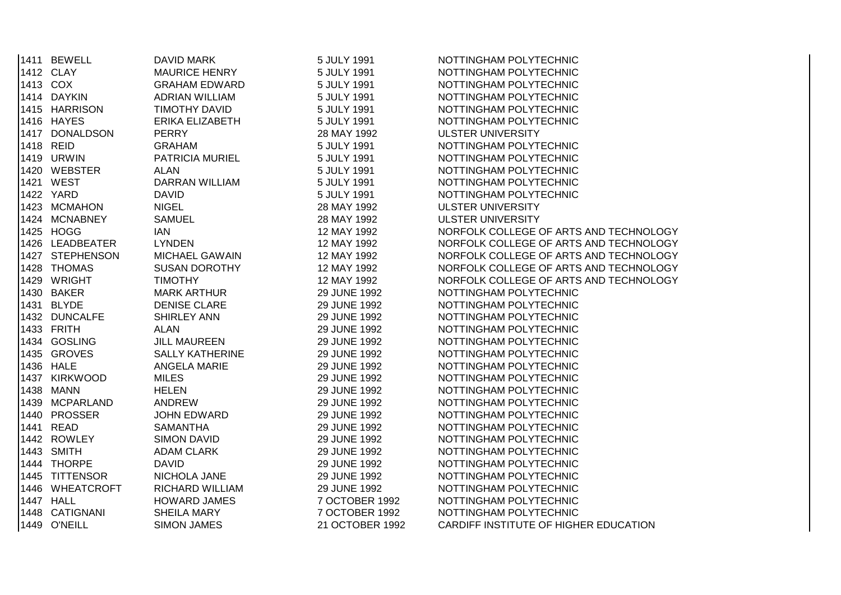| 1411 BEWELL     | DAVID MARK             | 5 JULY 1991     | NOTTINGHAM POLYTECHNIC                 |
|-----------------|------------------------|-----------------|----------------------------------------|
| 1412 CLAY       | <b>MAURICE HENRY</b>   | 5 JULY 1991     | NOTTINGHAM POLYTECHNIC                 |
| 1413 COX        | <b>GRAHAM EDWARD</b>   | 5 JULY 1991     | NOTTINGHAM POLYTECHNIC                 |
| 1414 DAYKIN     | <b>ADRIAN WILLIAM</b>  | 5 JULY 1991     | NOTTINGHAM POLYTECHNIC                 |
| 1415 HARRISON   | TIMOTHY DAVID          | 5 JULY 1991     | NOTTINGHAM POLYTECHNIC                 |
| 1416 HAYES      | ERIKA ELIZABETH        | 5 JULY 1991     | NOTTINGHAM POLYTECHNIC                 |
| 1417 DONALDSON  | <b>PERRY</b>           | 28 MAY 1992     | <b>ULSTER UNIVERSITY</b>               |
| 1418 REID       | <b>GRAHAM</b>          | 5 JULY 1991     | NOTTINGHAM POLYTECHNIC                 |
| 1419 URWIN      | PATRICIA MURIEL        | 5 JULY 1991     | NOTTINGHAM POLYTECHNIC                 |
| 1420 WEBSTER    | <b>ALAN</b>            | 5 JULY 1991     | NOTTINGHAM POLYTECHNIC                 |
| 1421 WEST       | <b>DARRAN WILLIAM</b>  | 5 JULY 1991     | NOTTINGHAM POLYTECHNIC                 |
| 1422 YARD       | <b>DAVID</b>           | 5 JULY 1991     | NOTTINGHAM POLYTECHNIC                 |
| 1423 MCMAHON    | <b>NIGEL</b>           | 28 MAY 1992     | <b>ULSTER UNIVERSITY</b>               |
| 1424 MCNABNEY   | <b>SAMUEL</b>          | 28 MAY 1992     | <b>ULSTER UNIVERSITY</b>               |
| 1425 HOGG       | <b>IAN</b>             | 12 MAY 1992     | NORFOLK COLLEGE OF ARTS AND TECHNOLOGY |
| 1426 LEADBEATER | <b>LYNDEN</b>          | 12 MAY 1992     | NORFOLK COLLEGE OF ARTS AND TECHNOLOGY |
| 1427 STEPHENSON | <b>MICHAEL GAWAIN</b>  | 12 MAY 1992     | NORFOLK COLLEGE OF ARTS AND TECHNOLOGY |
| 1428 THOMAS     | <b>SUSAN DOROTHY</b>   | 12 MAY 1992     | NORFOLK COLLEGE OF ARTS AND TECHNOLOGY |
| 1429 WRIGHT     | <b>TIMOTHY</b>         | 12 MAY 1992     | NORFOLK COLLEGE OF ARTS AND TECHNOLOGY |
| 1430 BAKER      | <b>MARK ARTHUR</b>     | 29 JUNE 1992    | NOTTINGHAM POLYTECHNIC                 |
| 1431 BLYDE      | <b>DENISE CLARE</b>    | 29 JUNE 1992    | NOTTINGHAM POLYTECHNIC                 |
| 1432 DUNCALFE   | SHIRLEY ANN            | 29 JUNE 1992    | NOTTINGHAM POLYTECHNIC                 |
| 1433 FRITH      | <b>ALAN</b>            | 29 JUNE 1992    | NOTTINGHAM POLYTECHNIC                 |
| 1434 GOSLING    | <b>JILL MAUREEN</b>    | 29 JUNE 1992    | NOTTINGHAM POLYTECHNIC                 |
| 1435 GROVES     | <b>SALLY KATHERINE</b> | 29 JUNE 1992    | NOTTINGHAM POLYTECHNIC                 |
| 1436 HALE       | <b>ANGELA MARIE</b>    | 29 JUNE 1992    | NOTTINGHAM POLYTECHNIC                 |
| 1437 KIRKWOOD   | <b>MILES</b>           | 29 JUNE 1992    | NOTTINGHAM POLYTECHNIC                 |
| 1438 MANN       | <b>HELEN</b>           | 29 JUNE 1992    | NOTTINGHAM POLYTECHNIC                 |
| 1439 MCPARLAND  | ANDREW                 | 29 JUNE 1992    | NOTTINGHAM POLYTECHNIC                 |
| 1440 PROSSER    | JOHN EDWARD            | 29 JUNE 1992    | NOTTINGHAM POLYTECHNIC                 |
| 1441 READ       | <b>SAMANTHA</b>        | 29 JUNE 1992    | NOTTINGHAM POLYTECHNIC                 |
| 1442 ROWLEY     | <b>SIMON DAVID</b>     | 29 JUNE 1992    | NOTTINGHAM POLYTECHNIC                 |
| 1443 SMITH      | <b>ADAM CLARK</b>      | 29 JUNE 1992    | NOTTINGHAM POLYTECHNIC                 |
| 1444 THORPE     | <b>DAVID</b>           | 29 JUNE 1992    | NOTTINGHAM POLYTECHNIC                 |
| 1445 TITTENSOR  | NICHOLA JANE           | 29 JUNE 1992    | NOTTINGHAM POLYTECHNIC                 |
| 1446 WHEATCROFT | <b>RICHARD WILLIAM</b> | 29 JUNE 1992    | NOTTINGHAM POLYTECHNIC                 |
| 1447 HALL       | <b>HOWARD JAMES</b>    | 7 OCTOBER 1992  | NOTTINGHAM POLYTECHNIC                 |
| 1448 CATIGNANI  | <b>SHEILA MARY</b>     | 7 OCTOBER 1992  | NOTTINGHAM POLYTECHNIC                 |
| 1449 O'NEILL    | <b>SIMON JAMES</b>     | 21 OCTOBER 1992 | CARDIFF INSTITUTE OF HIGHER EDUCATION  |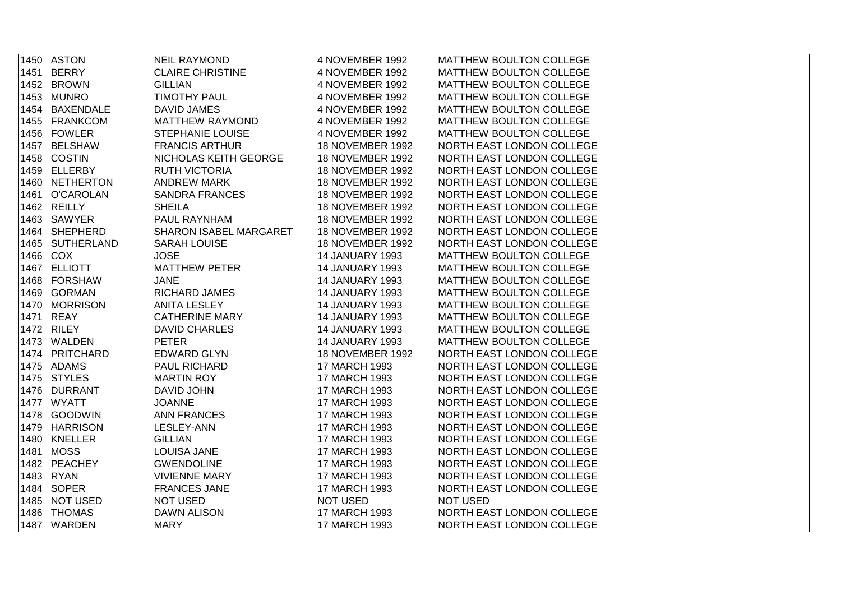|      | 1450 ASTON      | <b>NEIL RAYMOND</b>           | 4 NOVEMBER 1992         | MATTHEW BOULTON COLLEGE   |
|------|-----------------|-------------------------------|-------------------------|---------------------------|
|      | 1451 BERRY      | <b>CLAIRE CHRISTINE</b>       | 4 NOVEMBER 1992         | MATTHEW BOULTON COLLEGE   |
|      | 1452 BROWN      | <b>GILLIAN</b>                | 4 NOVEMBER 1992         | MATTHEW BOULTON COLLEGE   |
|      | 1453 MUNRO      | <b>TIMOTHY PAUL</b>           | 4 NOVEMBER 1992         | MATTHEW BOULTON COLLEGE   |
|      | 1454 BAXENDALE  | DAVID JAMES                   | 4 NOVEMBER 1992         | MATTHEW BOULTON COLLEGE   |
|      | 1455 FRANKCOM   | <b>MATTHEW RAYMOND</b>        | 4 NOVEMBER 1992         | MATTHEW BOULTON COLLEGE   |
|      | 1456 FOWLER     | <b>STEPHANIE LOUISE</b>       | 4 NOVEMBER 1992         | MATTHEW BOULTON COLLEGE   |
|      | 1457 BELSHAW    | <b>FRANCIS ARTHUR</b>         | <b>18 NOVEMBER 1992</b> | NORTH EAST LONDON COLLEGE |
|      | 1458 COSTIN     | NICHOLAS KEITH GEORGE         | <b>18 NOVEMBER 1992</b> | NORTH EAST LONDON COLLEGE |
|      | 1459 ELLERBY    | <b>RUTH VICTORIA</b>          | <b>18 NOVEMBER 1992</b> | NORTH EAST LONDON COLLEGE |
|      | 1460 NETHERTON  | <b>ANDREW MARK</b>            | 18 NOVEMBER 1992        | NORTH EAST LONDON COLLEGE |
|      | 1461 O'CAROLAN  | <b>SANDRA FRANCES</b>         | 18 NOVEMBER 1992        | NORTH EAST LONDON COLLEGE |
|      | 1462 REILLY     | <b>SHEILA</b>                 | <b>18 NOVEMBER 1992</b> | NORTH EAST LONDON COLLEGE |
|      | 1463 SAWYER     | PAUL RAYNHAM                  | <b>18 NOVEMBER 1992</b> | NORTH EAST LONDON COLLEGE |
|      | 1464 SHEPHERD   | <b>SHARON ISABEL MARGARET</b> | <b>18 NOVEMBER 1992</b> | NORTH EAST LONDON COLLEGE |
|      | 1465 SUTHERLAND | <b>SARAH LOUISE</b>           | <b>18 NOVEMBER 1992</b> | NORTH EAST LONDON COLLEGE |
|      | 1466 COX        | <b>JOSE</b>                   | <b>14 JANUARY 1993</b>  | MATTHEW BOULTON COLLEGE   |
|      | 1467 ELLIOTT    | <b>MATTHEW PETER</b>          | <b>14 JANUARY 1993</b>  | MATTHEW BOULTON COLLEGE   |
|      | 1468 FORSHAW    | <b>JANE</b>                   | <b>14 JANUARY 1993</b>  | MATTHEW BOULTON COLLEGE   |
|      | 1469 GORMAN     | RICHARD JAMES                 | <b>14 JANUARY 1993</b>  | MATTHEW BOULTON COLLEGE   |
|      | 1470 MORRISON   | <b>ANITA LESLEY</b>           | <b>14 JANUARY 1993</b>  | MATTHEW BOULTON COLLEGE   |
|      | 1471 REAY       | <b>CATHERINE MARY</b>         | <b>14 JANUARY 1993</b>  | MATTHEW BOULTON COLLEGE   |
|      | 1472 RILEY      | <b>DAVID CHARLES</b>          | <b>14 JANUARY 1993</b>  | MATTHEW BOULTON COLLEGE   |
|      | 1473 WALDEN     | <b>PETER</b>                  | <b>14 JANUARY 1993</b>  | MATTHEW BOULTON COLLEGE   |
|      | 1474 PRITCHARD  | <b>EDWARD GLYN</b>            | <b>18 NOVEMBER 1992</b> | NORTH EAST LONDON COLLEGE |
|      | 1475 ADAMS      | PAUL RICHARD                  | 17 MARCH 1993           | NORTH EAST LONDON COLLEGE |
|      | 1475 STYLES     | <b>MARTIN ROY</b>             | 17 MARCH 1993           | NORTH EAST LONDON COLLEGE |
|      | 1476 DURRANT    | DAVID JOHN                    | 17 MARCH 1993           | NORTH EAST LONDON COLLEGE |
|      | 1477 WYATT      | <b>JOANNE</b>                 | 17 MARCH 1993           | NORTH EAST LONDON COLLEGE |
|      | 1478 GOODWIN    | <b>ANN FRANCES</b>            | 17 MARCH 1993           | NORTH EAST LONDON COLLEGE |
|      | 1479 HARRISON   | <b>LESLEY-ANN</b>             | 17 MARCH 1993           | NORTH EAST LONDON COLLEGE |
|      | 1480 KNELLER    | <b>GILLIAN</b>                | 17 MARCH 1993           | NORTH EAST LONDON COLLEGE |
| 1481 | <b>MOSS</b>     | LOUISA JANE                   | 17 MARCH 1993           | NORTH EAST LONDON COLLEGE |
|      | 1482 PEACHEY    | <b>GWENDOLINE</b>             | 17 MARCH 1993           | NORTH EAST LONDON COLLEGE |
|      | 1483 RYAN       | <b>VIVIENNE MARY</b>          | 17 MARCH 1993           | NORTH EAST LONDON COLLEGE |
|      | 1484 SOPER      | <b>FRANCES JANE</b>           | 17 MARCH 1993           | NORTH EAST LONDON COLLEGE |
| 1485 | <b>NOT USED</b> | <b>NOT USED</b>               | <b>NOT USED</b>         | <b>NOT USED</b>           |
| 1486 | <b>THOMAS</b>   | <b>DAWN ALISON</b>            | 17 MARCH 1993           | NORTH EAST LONDON COLLEGE |
|      | 1487 WARDEN     | <b>MARY</b>                   | 17 MARCH 1993           | NORTH EAST LONDON COLLEGE |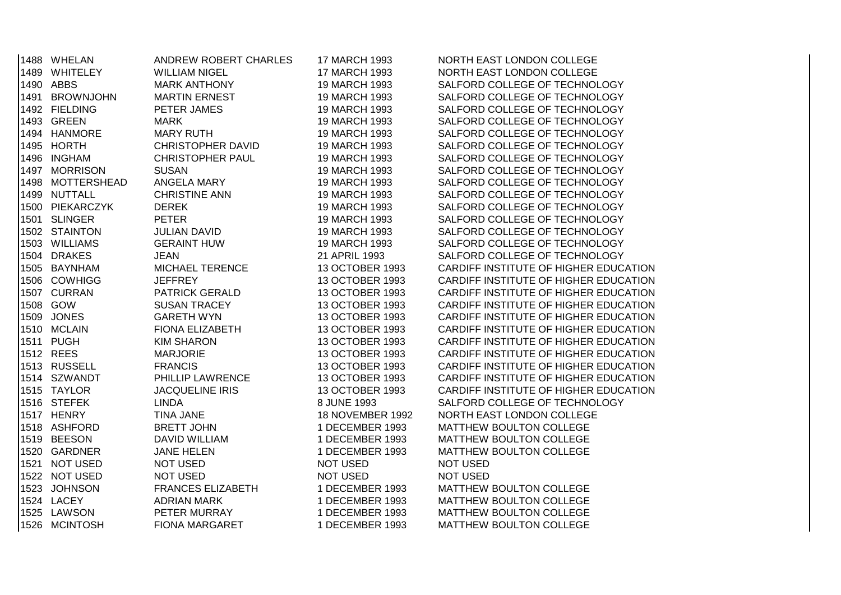| 1488 WHELAN      | ANDREW ROBERT CHARLES    | 17 MARCH 1993           | NORTH EAST LONDON COLLEGE             |
|------------------|--------------------------|-------------------------|---------------------------------------|
| 1489 WHITELEY    | WILLIAM NIGEL            | 17 MARCH 1993           | NORTH EAST LONDON COLLEGE             |
| 1490 ABBS        | <b>MARK ANTHONY</b>      | 19 MARCH 1993           | SALFORD COLLEGE OF TECHNOLOGY         |
| 1491 BROWNJOHN   | <b>MARTIN ERNEST</b>     | 19 MARCH 1993           | SALFORD COLLEGE OF TECHNOLOGY         |
| 1492 FIELDING    | PETER JAMES              | 19 MARCH 1993           | SALFORD COLLEGE OF TECHNOLOGY         |
| 1493 GREEN       | MARK                     | 19 MARCH 1993           | SALFORD COLLEGE OF TECHNOLOGY         |
| 1494 HANMORE     | <b>MARY RUTH</b>         | 19 MARCH 1993           | SALFORD COLLEGE OF TECHNOLOGY         |
| 1495 HORTH       | <b>CHRISTOPHER DAVID</b> | 19 MARCH 1993           | SALFORD COLLEGE OF TECHNOLOGY         |
| 1496 INGHAM      | <b>CHRISTOPHER PAUL</b>  | 19 MARCH 1993           | SALFORD COLLEGE OF TECHNOLOGY         |
| 1497 MORRISON    | <b>SUSAN</b>             | 19 MARCH 1993           | SALFORD COLLEGE OF TECHNOLOGY         |
| 1498 MOTTERSHEAD | ANGELA MARY              | 19 MARCH 1993           | SALFORD COLLEGE OF TECHNOLOGY         |
| 1499 NUTTALL     | <b>CHRISTINE ANN</b>     | 19 MARCH 1993           | SALFORD COLLEGE OF TECHNOLOGY         |
| 1500 PIEKARCZYK  | <b>DEREK</b>             | 19 MARCH 1993           | SALFORD COLLEGE OF TECHNOLOGY         |
| 1501 SLINGER     | PETER                    | 19 MARCH 1993           | SALFORD COLLEGE OF TECHNOLOGY         |
| 1502 STAINTON    | <b>JULIAN DAVID</b>      | 19 MARCH 1993           | SALFORD COLLEGE OF TECHNOLOGY         |
| 1503 WILLIAMS    | <b>GERAINT HUW</b>       | 19 MARCH 1993           | SALFORD COLLEGE OF TECHNOLOGY         |
| 1504 DRAKES      | <b>JEAN</b>              | 21 APRIL 1993           | SALFORD COLLEGE OF TECHNOLOGY         |
| 1505 BAYNHAM     | MICHAEL TERENCE          | 13 OCTOBER 1993         | CARDIFF INSTITUTE OF HIGHER EDUCATION |
| 1506 COWHIGG     | <b>JEFFREY</b>           | 13 OCTOBER 1993         | CARDIFF INSTITUTE OF HIGHER EDUCATION |
| 1507 CURRAN      | <b>PATRICK GERALD</b>    | 13 OCTOBER 1993         | CARDIFF INSTITUTE OF HIGHER EDUCATION |
| 1508 GOW         | <b>SUSAN TRACEY</b>      | 13 OCTOBER 1993         | CARDIFF INSTITUTE OF HIGHER EDUCATION |
| 1509 JONES       | <b>GARETH WYN</b>        | 13 OCTOBER 1993         | CARDIFF INSTITUTE OF HIGHER EDUCATION |
| 1510 MCLAIN      | <b>FIONA ELIZABETH</b>   | 13 OCTOBER 1993         | CARDIFF INSTITUTE OF HIGHER EDUCATION |
| 1511 PUGH        | <b>KIM SHARON</b>        | 13 OCTOBER 1993         | CARDIFF INSTITUTE OF HIGHER EDUCATION |
| 1512 REES        | <b>MARJORIE</b>          | 13 OCTOBER 1993         | CARDIFF INSTITUTE OF HIGHER EDUCATION |
| 1513 RUSSELL     | <b>FRANCIS</b>           | 13 OCTOBER 1993         | CARDIFF INSTITUTE OF HIGHER EDUCATION |
| 1514 SZWANDT     | PHILLIP LAWRENCE         | 13 OCTOBER 1993         | CARDIFF INSTITUTE OF HIGHER EDUCATION |
| 1515 TAYLOR      | <b>JACQUELINE IRIS</b>   | 13 OCTOBER 1993         | CARDIFF INSTITUTE OF HIGHER EDUCATION |
| 1516 STEFEK      | <b>LINDA</b>             | 8 JUNE 1993             | SALFORD COLLEGE OF TECHNOLOGY         |
| 1517 HENRY       | <b>TINA JANE</b>         | <b>18 NOVEMBER 1992</b> | NORTH EAST LONDON COLLEGE             |
| 1518 ASHFORD     | <b>BRETT JOHN</b>        | 1 DECEMBER 1993         | MATTHEW BOULTON COLLEGE               |
| 1519 BEESON      | <b>DAVID WILLIAM</b>     | 1 DECEMBER 1993         | MATTHEW BOULTON COLLEGE               |
| 1520 GARDNER     | <b>JANE HELEN</b>        | 1 DECEMBER 1993         | MATTHEW BOULTON COLLEGE               |
| 1521 NOT USED    | <b>NOT USED</b>          | <b>NOT USED</b>         | <b>NOT USED</b>                       |
| 1522 NOT USED    | <b>NOT USED</b>          | NOT USED                | <b>NOT USED</b>                       |
| 1523 JOHNSON     | <b>FRANCES ELIZABETH</b> | 1 DECEMBER 1993         | MATTHEW BOULTON COLLEGE               |
| 1524 LACEY       | <b>ADRIAN MARK</b>       | 1 DECEMBER 1993         | MATTHEW BOULTON COLLEGE               |
| 1525 LAWSON      | PETER MURRAY             | 1 DECEMBER 1993         | MATTHEW BOULTON COLLEGE               |
| 1526 MCINTOSH    | <b>FIONA MARGARET</b>    | 1 DECEMBER 1993         | MATTHEW BOULTON COLLEGE               |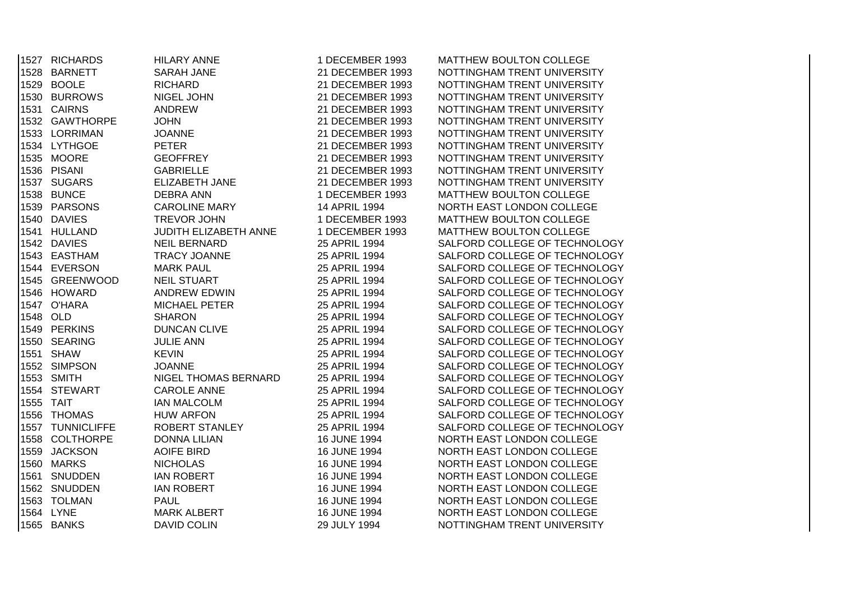|      | 1527 RICHARDS    | <b>HILARY ANNE</b>    | 1 DECEMBER 1993  | MATTHEW BOULTON COLLEGE       |
|------|------------------|-----------------------|------------------|-------------------------------|
|      | 1528 BARNETT     | <b>SARAH JANE</b>     | 21 DECEMBER 1993 | NOTTINGHAM TRENT UNIVERSITY   |
|      | 1529 BOOLE       | <b>RICHARD</b>        | 21 DECEMBER 1993 | NOTTINGHAM TRENT UNIVERSITY   |
|      | 1530 BURROWS     | NIGEL JOHN            | 21 DECEMBER 1993 | NOTTINGHAM TRENT UNIVERSITY   |
|      | 1531 CAIRNS      | <b>ANDREW</b>         | 21 DECEMBER 1993 | NOTTINGHAM TRENT UNIVERSITY   |
|      | 1532 GAWTHORPE   | <b>JOHN</b>           | 21 DECEMBER 1993 | NOTTINGHAM TRENT UNIVERSITY   |
|      | 1533 LORRIMAN    | <b>JOANNE</b>         | 21 DECEMBER 1993 | NOTTINGHAM TRENT UNIVERSITY   |
|      | 1534 LYTHGOE     | <b>PETER</b>          | 21 DECEMBER 1993 | NOTTINGHAM TRENT UNIVERSITY   |
|      | 1535 MOORE       | <b>GEOFFREY</b>       | 21 DECEMBER 1993 | NOTTINGHAM TRENT UNIVERSITY   |
|      | 1536 PISANI      | <b>GABRIELLE</b>      | 21 DECEMBER 1993 | NOTTINGHAM TRENT UNIVERSITY   |
|      | 1537 SUGARS      | ELIZABETH JANE        | 21 DECEMBER 1993 | NOTTINGHAM TRENT UNIVERSITY   |
|      | 1538 BUNCE       | <b>DEBRA ANN</b>      | 1 DECEMBER 1993  | MATTHEW BOULTON COLLEGE       |
|      | 1539 PARSONS     | <b>CAROLINE MARY</b>  | 14 APRIL 1994    | NORTH EAST LONDON COLLEGE     |
|      | 1540 DAVIES      | TREVOR JOHN           | 1 DECEMBER 1993  | MATTHEW BOULTON COLLEGE       |
|      | 1541 HULLAND     | JUDITH ELIZABETH ANNE | 1 DECEMBER 1993  | MATTHEW BOULTON COLLEGE       |
|      | 1542 DAVIES      | <b>NEIL BERNARD</b>   | 25 APRIL 1994    | SALFORD COLLEGE OF TECHNOLOGY |
|      | 1543 EASTHAM     | <b>TRACY JOANNE</b>   | 25 APRIL 1994    | SALFORD COLLEGE OF TECHNOLOGY |
|      | 1544 EVERSON     | <b>MARK PAUL</b>      | 25 APRIL 1994    | SALFORD COLLEGE OF TECHNOLOGY |
|      | 1545 GREENWOOD   | <b>NEIL STUART</b>    | 25 APRIL 1994    | SALFORD COLLEGE OF TECHNOLOGY |
|      | 1546 HOWARD      | ANDREW EDWIN          | 25 APRIL 1994    | SALFORD COLLEGE OF TECHNOLOGY |
|      | 1547 O'HARA      | <b>MICHAEL PETER</b>  | 25 APRIL 1994    | SALFORD COLLEGE OF TECHNOLOGY |
|      | 1548 OLD         | <b>SHARON</b>         | 25 APRIL 1994    | SALFORD COLLEGE OF TECHNOLOGY |
|      | 1549 PERKINS     | <b>DUNCAN CLIVE</b>   | 25 APRIL 1994    | SALFORD COLLEGE OF TECHNOLOGY |
|      | 1550 SEARING     | <b>JULIE ANN</b>      | 25 APRIL 1994    | SALFORD COLLEGE OF TECHNOLOGY |
|      | 1551 SHAW        | <b>KEVIN</b>          | 25 APRIL 1994    | SALFORD COLLEGE OF TECHNOLOGY |
|      | 1552 SIMPSON     | <b>JOANNE</b>         | 25 APRIL 1994    | SALFORD COLLEGE OF TECHNOLOGY |
|      | 1553 SMITH       | NIGEL THOMAS BERNARD  | 25 APRIL 1994    | SALFORD COLLEGE OF TECHNOLOGY |
|      | 1554 STEWART     | <b>CAROLE ANNE</b>    | 25 APRIL 1994    | SALFORD COLLEGE OF TECHNOLOGY |
|      | 1555 TAIT        | <b>IAN MALCOLM</b>    | 25 APRIL 1994    | SALFORD COLLEGE OF TECHNOLOGY |
|      | 1556 THOMAS      | <b>HUW ARFON</b>      | 25 APRIL 1994    | SALFORD COLLEGE OF TECHNOLOGY |
|      | 1557 TUNNICLIFFE | ROBERT STANLEY        | 25 APRIL 1994    | SALFORD COLLEGE OF TECHNOLOGY |
|      | 1558 COLTHORPE   | <b>DONNA LILIAN</b>   | 16 JUNE 1994     | NORTH EAST LONDON COLLEGE     |
| 1559 | <b>JACKSON</b>   | <b>AOIFE BIRD</b>     | 16 JUNE 1994     | NORTH EAST LONDON COLLEGE     |
|      | 1560 MARKS       | <b>NICHOLAS</b>       | 16 JUNE 1994     | NORTH EAST LONDON COLLEGE     |
| 1561 | SNUDDEN          | <b>IAN ROBERT</b>     | 16 JUNE 1994     | NORTH EAST LONDON COLLEGE     |
|      | 1562 SNUDDEN     | <b>IAN ROBERT</b>     | 16 JUNE 1994     | NORTH EAST LONDON COLLEGE     |
|      | 1563 TOLMAN      | <b>PAUL</b>           | 16 JUNE 1994     | NORTH EAST LONDON COLLEGE     |
|      | 1564 LYNE        | <b>MARK ALBERT</b>    | 16 JUNE 1994     | NORTH EAST LONDON COLLEGE     |
|      | 1565 BANKS       | <b>DAVID COLIN</b>    | 29 JULY 1994     | NOTTINGHAM TRENT UNIVERSITY   |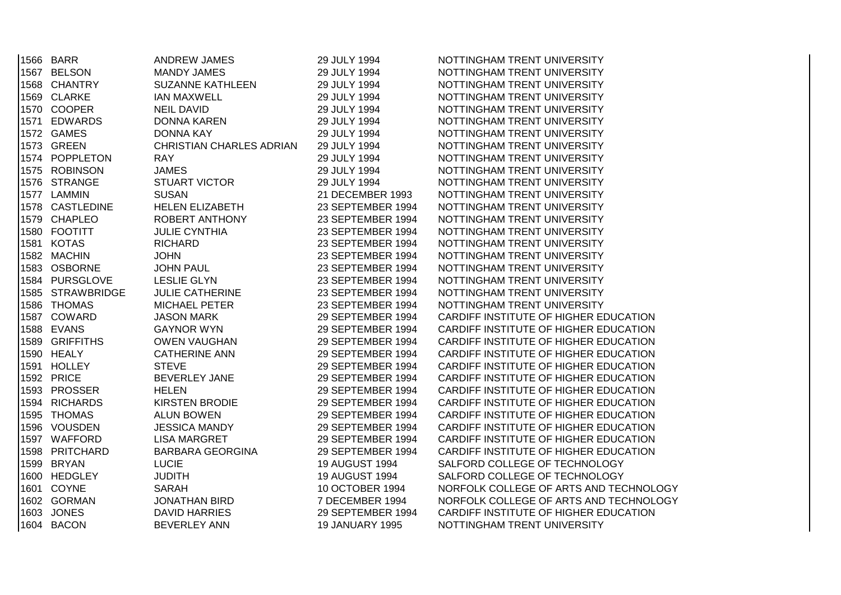|      | 1566 BARR        | <b>ANDREW JAMES</b>             | 29 JULY 1994           | NOTTINGHAM TRENT UNIVERSITY            |
|------|------------------|---------------------------------|------------------------|----------------------------------------|
|      | 1567 BELSON      | <b>MANDY JAMES</b>              | 29 JULY 1994           | NOTTINGHAM TRENT UNIVERSITY            |
|      | 1568 CHANTRY     | <b>SUZANNE KATHLEEN</b>         | 29 JULY 1994           | NOTTINGHAM TRENT UNIVERSITY            |
|      | 1569 CLARKE      | <b>IAN MAXWELL</b>              | 29 JULY 1994           | NOTTINGHAM TRENT UNIVERSITY            |
|      | 1570 COOPER      | <b>NEIL DAVID</b>               | 29 JULY 1994           | NOTTINGHAM TRENT UNIVERSITY            |
|      | 1571 EDWARDS     | <b>DONNA KAREN</b>              | 29 JULY 1994           | NOTTINGHAM TRENT UNIVERSITY            |
|      | 1572 GAMES       | DONNA KAY                       | 29 JULY 1994           | NOTTINGHAM TRENT UNIVERSITY            |
| 1573 | <b>GREEN</b>     | <b>CHRISTIAN CHARLES ADRIAN</b> | 29 JULY 1994           | NOTTINGHAM TRENT UNIVERSITY            |
|      | 1574 POPPLETON   | <b>RAY</b>                      | 29 JULY 1994           | NOTTINGHAM TRENT UNIVERSITY            |
| 1575 | <b>ROBINSON</b>  | <b>JAMES</b>                    | 29 JULY 1994           | NOTTINGHAM TRENT UNIVERSITY            |
|      | 1576 STRANGE     | <b>STUART VICTOR</b>            | 29 JULY 1994           | NOTTINGHAM TRENT UNIVERSITY            |
|      | 1577 LAMMIN      | <b>SUSAN</b>                    | 21 DECEMBER 1993       | NOTTINGHAM TRENT UNIVERSITY            |
|      | 1578 CASTLEDINE  | <b>HELEN ELIZABETH</b>          | 23 SEPTEMBER 1994      | NOTTINGHAM TRENT UNIVERSITY            |
|      | 1579 CHAPLEO     | ROBERT ANTHONY                  | 23 SEPTEMBER 1994      | NOTTINGHAM TRENT UNIVERSITY            |
|      | 1580 FOOTITT     | <b>JULIE CYNTHIA</b>            | 23 SEPTEMBER 1994      | NOTTINGHAM TRENT UNIVERSITY            |
|      | 1581 KOTAS       | <b>RICHARD</b>                  | 23 SEPTEMBER 1994      | NOTTINGHAM TRENT UNIVERSITY            |
|      | 1582 MACHIN      | <b>JOHN</b>                     | 23 SEPTEMBER 1994      | NOTTINGHAM TRENT UNIVERSITY            |
|      | 1583 OSBORNE     | <b>JOHN PAUL</b>                | 23 SEPTEMBER 1994      | NOTTINGHAM TRENT UNIVERSITY            |
|      | 1584 PURSGLOVE   | <b>LESLIE GLYN</b>              | 23 SEPTEMBER 1994      | NOTTINGHAM TRENT UNIVERSITY            |
|      | 1585 STRAWBRIDGE | <b>JULIE CATHERINE</b>          | 23 SEPTEMBER 1994      | NOTTINGHAM TRENT UNIVERSITY            |
|      | 1586 THOMAS      | <b>MICHAEL PETER</b>            | 23 SEPTEMBER 1994      | NOTTINGHAM TRENT UNIVERSITY            |
|      | 1587 COWARD      | <b>JASON MARK</b>               | 29 SEPTEMBER 1994      | CARDIFF INSTITUTE OF HIGHER EDUCATION  |
|      | 1588 EVANS       | <b>GAYNOR WYN</b>               | 29 SEPTEMBER 1994      | CARDIFF INSTITUTE OF HIGHER EDUCATION  |
|      | 1589 GRIFFITHS   | <b>OWEN VAUGHAN</b>             | 29 SEPTEMBER 1994      | CARDIFF INSTITUTE OF HIGHER EDUCATION  |
|      | 1590 HEALY       | <b>CATHERINE ANN</b>            | 29 SEPTEMBER 1994      | CARDIFF INSTITUTE OF HIGHER EDUCATION  |
|      | 1591 HOLLEY      | <b>STEVE</b>                    | 29 SEPTEMBER 1994      | CARDIFF INSTITUTE OF HIGHER EDUCATION  |
|      | 1592 PRICE       | BEVERLEY JANE                   | 29 SEPTEMBER 1994      | CARDIFF INSTITUTE OF HIGHER EDUCATION  |
|      | 1593 PROSSER     | <b>HELEN</b>                    | 29 SEPTEMBER 1994      | CARDIFF INSTITUTE OF HIGHER EDUCATION  |
|      | 1594 RICHARDS    | <b>KIRSTEN BRODIE</b>           | 29 SEPTEMBER 1994      | CARDIFF INSTITUTE OF HIGHER EDUCATION  |
|      | 1595 THOMAS      | <b>ALUN BOWEN</b>               | 29 SEPTEMBER 1994      | CARDIFF INSTITUTE OF HIGHER EDUCATION  |
|      | 1596 VOUSDEN     | <b>JESSICA MANDY</b>            | 29 SEPTEMBER 1994      | CARDIFF INSTITUTE OF HIGHER EDUCATION  |
|      | 1597 WAFFORD     | <b>LISA MARGRET</b>             | 29 SEPTEMBER 1994      | CARDIFF INSTITUTE OF HIGHER EDUCATION  |
|      | 1598 PRITCHARD   | <b>BARBARA GEORGINA</b>         | 29 SEPTEMBER 1994      | CARDIFF INSTITUTE OF HIGHER EDUCATION  |
|      | 1599 BRYAN       | <b>LUCIE</b>                    | 19 AUGUST 1994         | SALFORD COLLEGE OF TECHNOLOGY          |
|      | 1600 HEDGLEY     | <b>JUDITH</b>                   | <b>19 AUGUST 1994</b>  | SALFORD COLLEGE OF TECHNOLOGY          |
|      | 1601 COYNE       | <b>SARAH</b>                    | 10 OCTOBER 1994        | NORFOLK COLLEGE OF ARTS AND TECHNOLOGY |
|      | 1602 GORMAN      | <b>JONATHAN BIRD</b>            | 7 DECEMBER 1994        | NORFOLK COLLEGE OF ARTS AND TECHNOLOGY |
| 1603 | <b>JONES</b>     | <b>DAVID HARRIES</b>            | 29 SEPTEMBER 1994      | CARDIFF INSTITUTE OF HIGHER EDUCATION  |
|      | 1604 BACON       | <b>BEVERLEY ANN</b>             | <b>19 JANUARY 1995</b> | NOTTINGHAM TRENT UNIVERSITY            |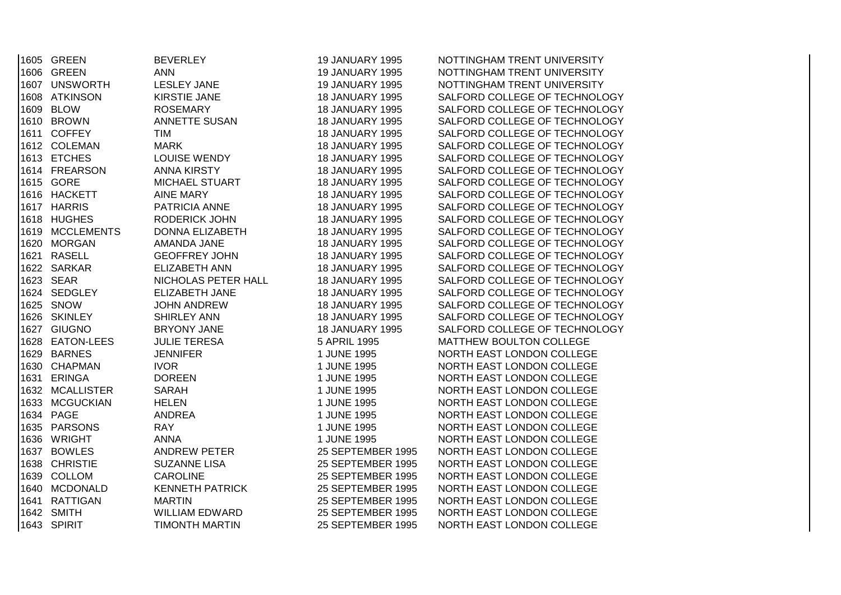| 1605 GREEN      | <b>BEVERLEY</b>        | <b>19 JANUARY 1995</b> | NOTTINGHAM TRENT UNIVERSITY   |
|-----------------|------------------------|------------------------|-------------------------------|
| 1606 GREEN      | <b>ANN</b>             | <b>19 JANUARY 1995</b> | NOTTINGHAM TRENT UNIVERSITY   |
| 1607 UNSWORTH   | LESLEY JANE            | <b>19 JANUARY 1995</b> | NOTTINGHAM TRENT UNIVERSITY   |
| 1608 ATKINSON   | KIRSTIE JANE           | <b>18 JANUARY 1995</b> | SALFORD COLLEGE OF TECHNOLOGY |
| 1609 BLOW       | <b>ROSEMARY</b>        | <b>18 JANUARY 1995</b> | SALFORD COLLEGE OF TECHNOLOGY |
| 1610 BROWN      | ANNETTE SUSAN          | <b>18 JANUARY 1995</b> | SALFORD COLLEGE OF TECHNOLOGY |
| 1611 COFFEY     | TIM                    | <b>18 JANUARY 1995</b> | SALFORD COLLEGE OF TECHNOLOGY |
| 1612 COLEMAN    | <b>MARK</b>            | <b>18 JANUARY 1995</b> | SALFORD COLLEGE OF TECHNOLOGY |
| 1613 ETCHES     | LOUISE WENDY           | <b>18 JANUARY 1995</b> | SALFORD COLLEGE OF TECHNOLOGY |
| 1614 FREARSON   | ANNA KIRSTY            | <b>18 JANUARY 1995</b> | SALFORD COLLEGE OF TECHNOLOGY |
| 1615 GORE       | <b>MICHAEL STUART</b>  | <b>18 JANUARY 1995</b> | SALFORD COLLEGE OF TECHNOLOGY |
| 1616 HACKETT    | <b>AINE MARY</b>       | <b>18 JANUARY 1995</b> | SALFORD COLLEGE OF TECHNOLOGY |
| 1617 HARRIS     | PATRICIA ANNE          | <b>18 JANUARY 1995</b> | SALFORD COLLEGE OF TECHNOLOGY |
| 1618 HUGHES     | RODERICK JOHN          | <b>18 JANUARY 1995</b> | SALFORD COLLEGE OF TECHNOLOGY |
| 1619 MCCLEMENTS | <b>DONNA ELIZABETH</b> | <b>18 JANUARY 1995</b> | SALFORD COLLEGE OF TECHNOLOGY |
| 1620 MORGAN     | AMANDA JANE            | <b>18 JANUARY 1995</b> | SALFORD COLLEGE OF TECHNOLOGY |
| 1621 RASELL     | <b>GEOFFREY JOHN</b>   | <b>18 JANUARY 1995</b> | SALFORD COLLEGE OF TECHNOLOGY |
| 1622 SARKAR     | <b>ELIZABETH ANN</b>   | <b>18 JANUARY 1995</b> | SALFORD COLLEGE OF TECHNOLOGY |
| 1623 SEAR       | NICHOLAS PETER HALL    | <b>18 JANUARY 1995</b> | SALFORD COLLEGE OF TECHNOLOGY |
| 1624 SEDGLEY    | ELIZABETH JANE         | <b>18 JANUARY 1995</b> | SALFORD COLLEGE OF TECHNOLOGY |
| 1625 SNOW       | <b>JOHN ANDREW</b>     | <b>18 JANUARY 1995</b> | SALFORD COLLEGE OF TECHNOLOGY |
| 1626 SKINLEY    | <b>SHIRLEY ANN</b>     | <b>18 JANUARY 1995</b> | SALFORD COLLEGE OF TECHNOLOGY |
| 1627 GIUGNO     | <b>BRYONY JANE</b>     | <b>18 JANUARY 1995</b> | SALFORD COLLEGE OF TECHNOLOGY |
| 1628 EATON-LEES | <b>JULIE TERESA</b>    | 5 APRIL 1995           | MATTHEW BOULTON COLLEGE       |
| 1629 BARNES     | <b>JENNIFER</b>        | 1 JUNE 1995            | NORTH EAST LONDON COLLEGE     |
| 1630 CHAPMAN    | <b>IVOR</b>            | 1 JUNE 1995            | NORTH EAST LONDON COLLEGE     |
| 1631 ERINGA     | <b>DOREEN</b>          | 1 JUNE 1995            | NORTH EAST LONDON COLLEGE     |
| 1632 MCALLISTER | SARAH                  | 1 JUNE 1995            | NORTH EAST LONDON COLLEGE     |
| 1633 MCGUCKIAN  | <b>HELEN</b>           | 1 JUNE 1995            | NORTH EAST LONDON COLLEGE     |
| 1634 PAGE       | <b>ANDREA</b>          | 1 JUNE 1995            | NORTH EAST LONDON COLLEGE     |
| 1635 PARSONS    | <b>RAY</b>             | 1 JUNE 1995            | NORTH EAST LONDON COLLEGE     |
| 1636 WRIGHT     | <b>ANNA</b>            | 1 JUNE 1995            | NORTH EAST LONDON COLLEGE     |
| 1637 BOWLES     | <b>ANDREW PETER</b>    | 25 SEPTEMBER 1995      | NORTH EAST LONDON COLLEGE     |
| 1638 CHRISTIE   | <b>SUZANNE LISA</b>    | 25 SEPTEMBER 1995      | NORTH EAST LONDON COLLEGE     |
| 1639 COLLOM     | <b>CAROLINE</b>        | 25 SEPTEMBER 1995      | NORTH EAST LONDON COLLEGE     |
| 1640 MCDONALD   | <b>KENNETH PATRICK</b> | 25 SEPTEMBER 1995      | NORTH EAST LONDON COLLEGE     |
| 1641 RATTIGAN   | <b>MARTIN</b>          | 25 SEPTEMBER 1995      | NORTH EAST LONDON COLLEGE     |
| 1642 SMITH      | WILLIAM EDWARD         | 25 SEPTEMBER 1995      | NORTH EAST LONDON COLLEGE     |
| 1643 SPIRIT     | <b>TIMONTH MARTIN</b>  | 25 SEPTEMBER 1995      | NORTH EAST LONDON COLLEGE     |